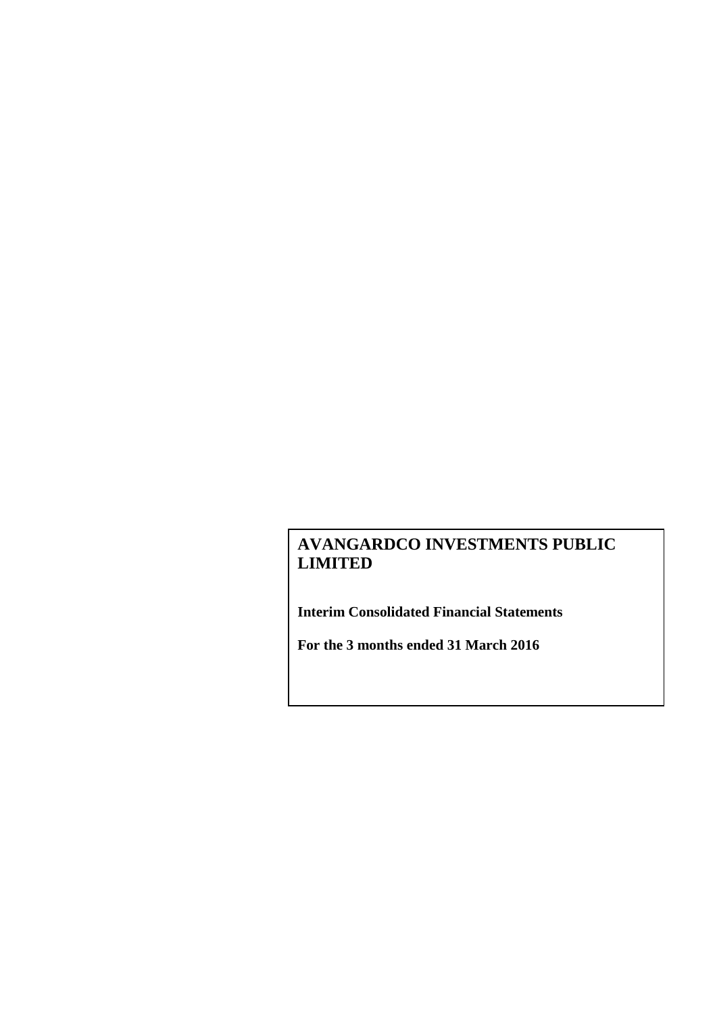**Interim Consolidated Financial Statements**

**For the 3 months ended 31 March 2016**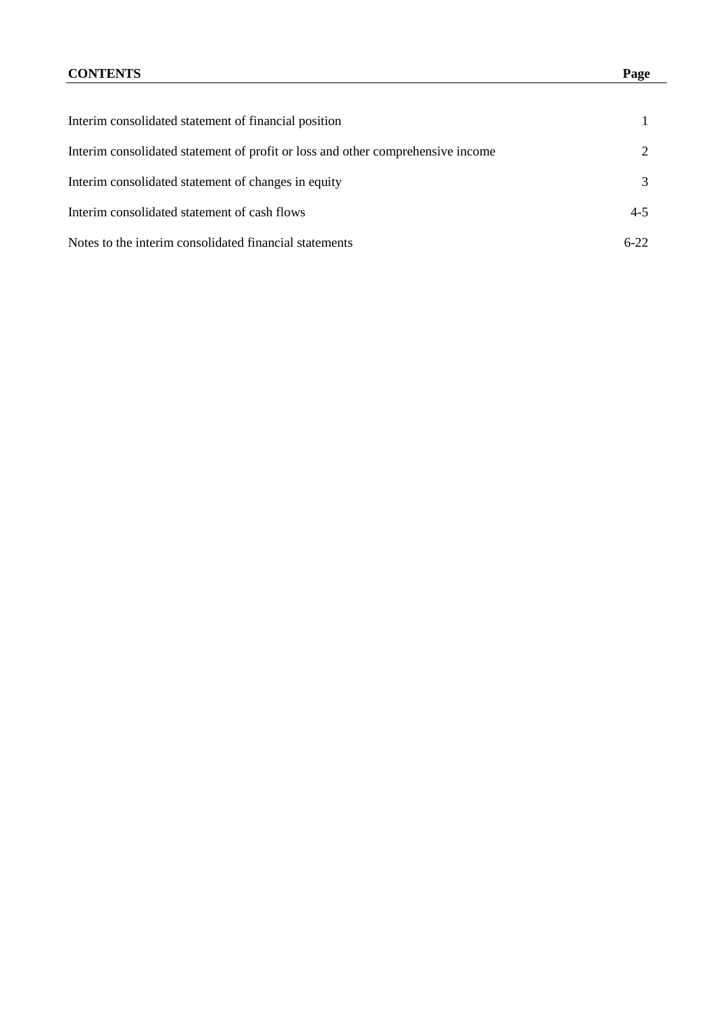| Interim consolidated statement of financial position                            |         |
|---------------------------------------------------------------------------------|---------|
| Interim consolidated statement of profit or loss and other comprehensive income | 2       |
| Interim consolidated statement of changes in equity                             | 3       |
| Interim consolidated statement of cash flows                                    | $4 - 5$ |
| Notes to the interim consolidated financial statements                          | $6-22$  |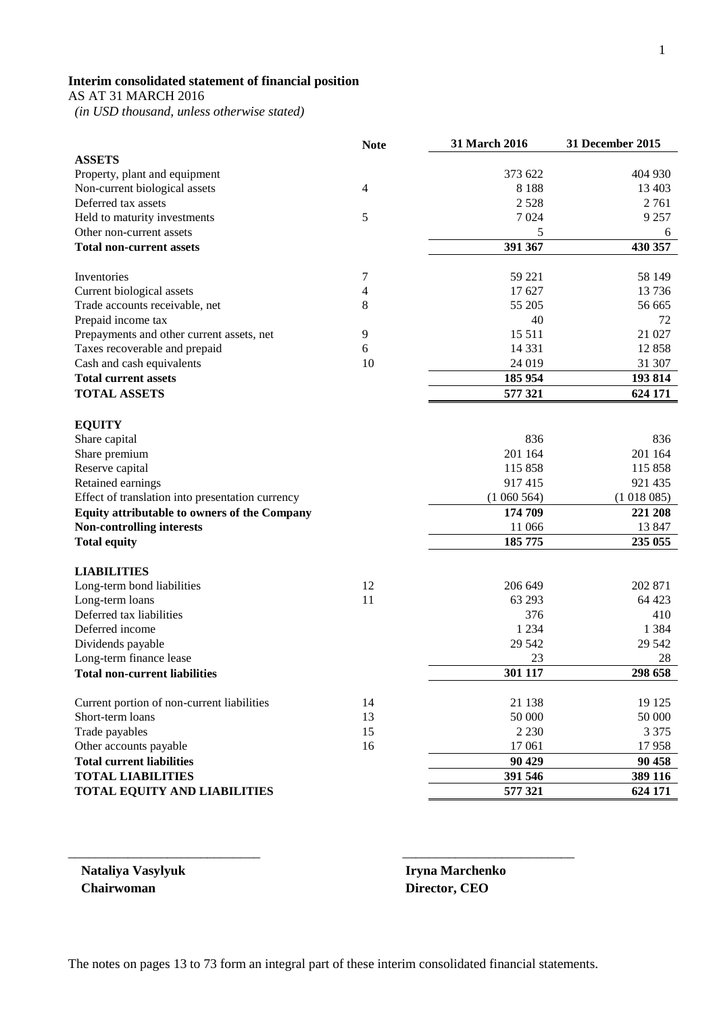# **Interim consolidated statement of financial position**

AS AT 31 MARCH 2016

 *(in USD thousand, unless otherwise stated)*

|                                                  | <b>Note</b> | 31 March 2016 | <b>31 December 2015</b> |
|--------------------------------------------------|-------------|---------------|-------------------------|
| <b>ASSETS</b>                                    |             |               |                         |
| Property, plant and equipment                    |             | 373 622       | 404 930                 |
| Non-current biological assets                    | 4           | 8 1 8 8       | 13 403                  |
| Deferred tax assets                              |             | 2528          | 2761                    |
| Held to maturity investments                     | 5           | 7024          | 9 2 5 7                 |
| Other non-current assets                         |             | 5             | 6                       |
| <b>Total non-current assets</b>                  |             | 391 367       | 430 357                 |
| Inventories                                      | 7           | 59 221        | 58 149                  |
| Current biological assets                        | 4           | 17 627        | 13 7 36                 |
| Trade accounts receivable, net                   | 8           | 55 205        | 56 665                  |
| Prepaid income tax                               |             | 40            | 72                      |
| Prepayments and other current assets, net        | 9           | 15 5 11       | 21 027                  |
| Taxes recoverable and prepaid                    | 6           | 14 3 3 1      | 12858                   |
| Cash and cash equivalents                        | 10          | 24 019        | 31 307                  |
| <b>Total current assets</b>                      |             | 185 954       | 193814                  |
| <b>TOTAL ASSETS</b>                              |             | 577 321       | 624 171                 |
|                                                  |             |               |                         |
| <b>EQUITY</b>                                    |             |               |                         |
| Share capital                                    |             | 836           | 836                     |
| Share premium                                    |             | 201 164       | 201 164                 |
| Reserve capital                                  |             | 115858        | 115 858                 |
| Retained earnings                                |             | 917415        | 921 435                 |
| Effect of translation into presentation currency |             | (1060564)     | (1018085)               |
| Equity attributable to owners of the Company     |             | 174 709       | 221 208                 |
| <b>Non-controlling interests</b>                 |             | 11 066        | 13 847                  |
| <b>Total equity</b>                              |             | 185 775       | 235 055                 |
| <b>LIABILITIES</b>                               |             |               |                         |
| Long-term bond liabilities                       | 12          | 206 649       | 202 871                 |
| Long-term loans                                  | 11          | 63 293        | 64 4 23                 |
| Deferred tax liabilities                         |             | 376           | 410                     |
| Deferred income                                  |             | 1 2 3 4       | 1 3 8 4                 |
| Dividends payable                                |             | 29 542        | 29 542                  |
| Long-term finance lease                          |             | 23            | 28                      |
| <b>Total non-current liabilities</b>             |             | 301 117       | 298 658                 |
| Current portion of non-current liabilities       | 14          | 21 138        | 19 125                  |
| Short-term loans                                 | 13          | 50 000        | 50 000                  |
| Trade payables                                   | 15          | 2 2 3 0       | 3 3 7 5                 |
| Other accounts payable                           | 16          | 17 061        | 17958                   |
| <b>Total current liabilities</b>                 |             | 90 429        | 90 458                  |
| <b>TOTAL LIABILITIES</b>                         |             | 391 546       | 389 116                 |
| <b>TOTAL EQUITY AND LIABILITIES</b>              |             | 577 321       | 624 171                 |
|                                                  |             |               |                         |

**Nataliya Vasylyuk Iryna Marchenko Chairwoman Director, CEO**

\_\_\_\_\_\_\_\_\_\_\_\_\_\_\_\_\_\_\_\_\_\_\_\_\_\_\_\_\_ \_\_\_\_\_\_\_\_\_\_\_\_\_\_\_\_\_\_\_\_\_\_\_\_\_\_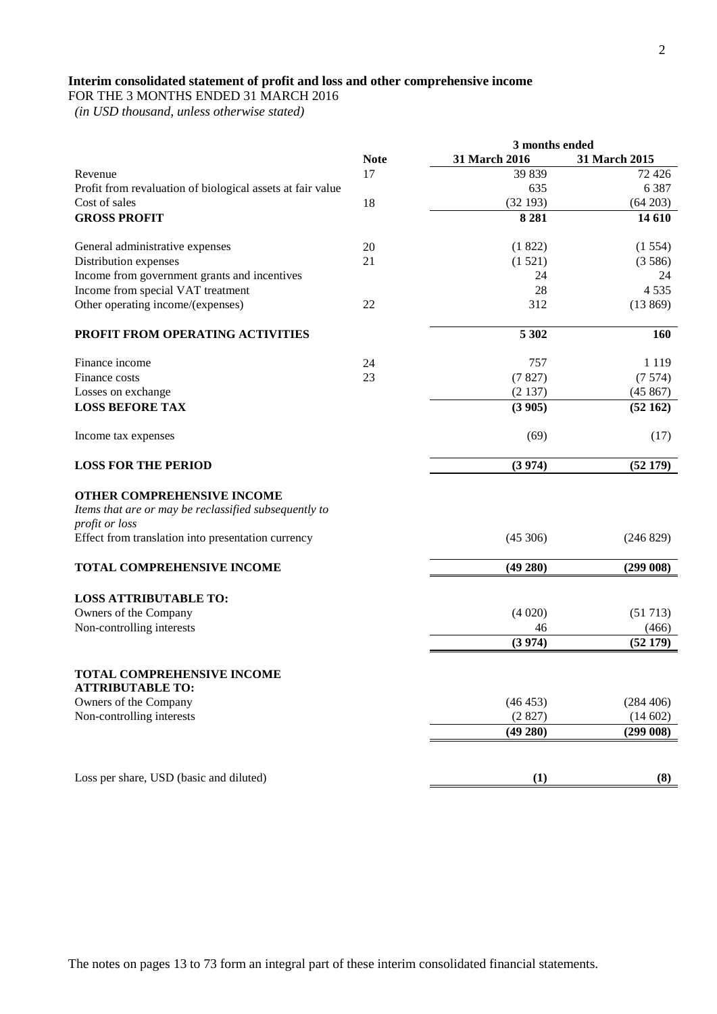# **Interim consolidated statement of profit and loss and other comprehensive income**

FOR THE 3 MONTHS ENDED 31 MARCH 2016

 *(in USD thousand, unless otherwise stated)*

|                                                                                                                                                             |             | 3 months ended |                  |  |
|-------------------------------------------------------------------------------------------------------------------------------------------------------------|-------------|----------------|------------------|--|
|                                                                                                                                                             | <b>Note</b> | 31 March 2016  | 31 March 2015    |  |
| Revenue                                                                                                                                                     | 17          | 39 839         | 72 4 26          |  |
| Profit from revaluation of biological assets at fair value                                                                                                  |             | 635            | 6 3 8 7          |  |
| Cost of sales                                                                                                                                               | 18          | (32193)        | (64203)          |  |
| <b>GROSS PROFIT</b>                                                                                                                                         |             | 8 2 8 1        | 14 610           |  |
| General administrative expenses                                                                                                                             | 20          | (1822)         | (1554)           |  |
| Distribution expenses                                                                                                                                       | 21          | (1521)         | (3586)           |  |
| Income from government grants and incentives                                                                                                                |             | 24             | 24               |  |
| Income from special VAT treatment                                                                                                                           |             | 28             | 4 5 3 5          |  |
| Other operating income/(expenses)                                                                                                                           | 22          | 312            | (13869)          |  |
| PROFIT FROM OPERATING ACTIVITIES                                                                                                                            |             | 5 3 0 2        | 160              |  |
| Finance income                                                                                                                                              | 24          | 757            | 1 1 1 9          |  |
| Finance costs                                                                                                                                               | 23          | (7827)         | (7574)           |  |
| Losses on exchange                                                                                                                                          |             | (2137)         | (45867)          |  |
| <b>LOSS BEFORE TAX</b>                                                                                                                                      |             | (3905)         | (52162)          |  |
| Income tax expenses                                                                                                                                         |             | (69)           | (17)             |  |
| <b>LOSS FOR THE PERIOD</b>                                                                                                                                  |             | (3974)         | (52179)          |  |
| OTHER COMPREHENSIVE INCOME<br>Items that are or may be reclassified subsequently to<br>profit or loss<br>Effect from translation into presentation currency |             | (45306)        | (246 829)        |  |
| TOTAL COMPREHENSIVE INCOME                                                                                                                                  |             | $(49\ 280)$    | (299008)         |  |
| <b>LOSS ATTRIBUTABLE TO:</b>                                                                                                                                |             |                |                  |  |
| Owners of the Company<br>Non-controlling interests                                                                                                          |             | (4020)<br>46   | (51713)          |  |
|                                                                                                                                                             |             | (3974)         | (466)<br>(52179) |  |
|                                                                                                                                                             |             |                |                  |  |
| TOTAL COMPREHENSIVE INCOME<br><b>ATTRIBUTABLE TO:</b>                                                                                                       |             |                |                  |  |
| Owners of the Company                                                                                                                                       |             | (46453)        | (284 406)        |  |
| Non-controlling interests                                                                                                                                   |             | (2827)         | (14602)          |  |
|                                                                                                                                                             |             | (49 280)       | (299008)         |  |
| Loss per share, USD (basic and diluted)                                                                                                                     |             | (1)            | (8)              |  |
|                                                                                                                                                             |             |                |                  |  |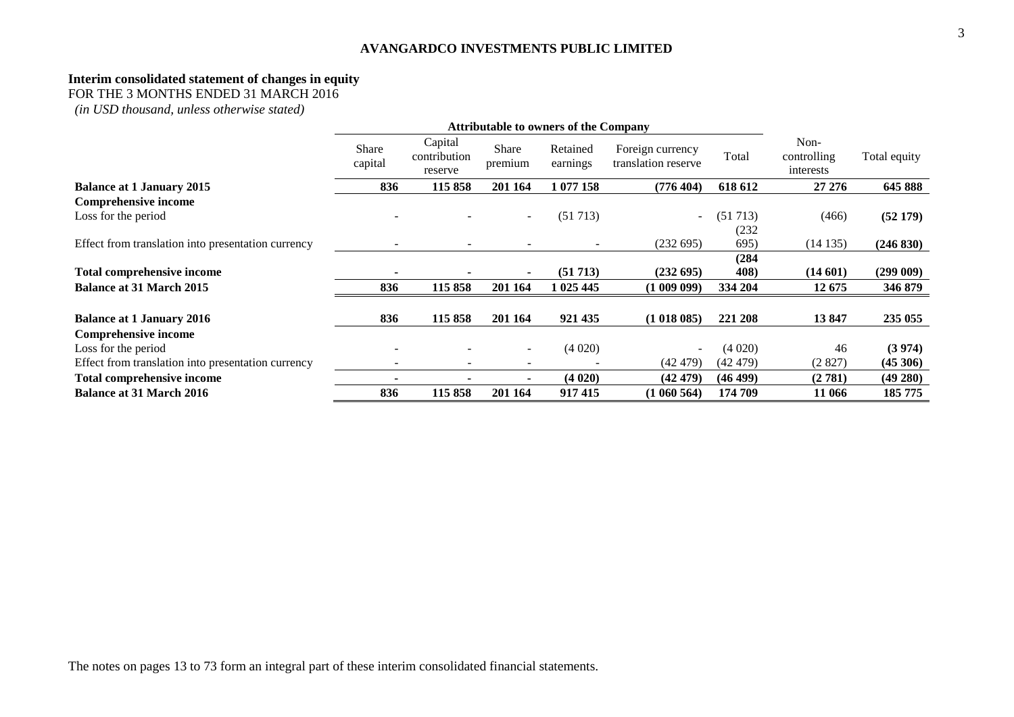#### **Interim consolidated statement of changes in equity**

FOR THE 3 MONTHS ENDED 31 MARCH 2016

*(in USD thousand, unless otherwise stated)*

|                                                    | <b>Attributable to owners of the Company</b> |                                    |                  |                      |                                         |          |                                  |              |
|----------------------------------------------------|----------------------------------------------|------------------------------------|------------------|----------------------|-----------------------------------------|----------|----------------------------------|--------------|
|                                                    | Share<br>capital                             | Capital<br>contribution<br>reserve | Share<br>premium | Retained<br>earnings | Foreign currency<br>translation reserve | Total    | Non-<br>controlling<br>interests | Total equity |
| <b>Balance at 1 January 2015</b>                   | 836                                          | 115 858                            | 201 164          | 1 077 158            | (776 404)                               | 618 612  | 27 27 6                          | 645 888      |
| <b>Comprehensive income</b>                        |                                              |                                    |                  |                      |                                         |          |                                  |              |
| Loss for the period                                |                                              |                                    |                  | (51713)              | $\sim$                                  | (51713)  | (466)                            | (52179)      |
|                                                    |                                              |                                    |                  |                      |                                         | (232)    |                                  |              |
| Effect from translation into presentation currency |                                              |                                    |                  |                      | (232695)                                | 695)     | (14135)                          | (246 830)    |
|                                                    |                                              |                                    |                  |                      |                                         | (284)    |                                  |              |
| Total comprehensive income                         |                                              |                                    |                  | (51713)              | (232695)                                | 408)     | (14601)                          | (299009)     |
| Balance at 31 March 2015                           | 836                                          | 115 858                            | 201 164          | 1 025 445            | (100909)                                | 334 204  | 12 675                           | 346 879      |
|                                                    |                                              |                                    |                  |                      |                                         |          |                                  |              |
| <b>Balance at 1 January 2016</b>                   | 836                                          | 115 858                            | 201 164          | 921 435              | (1018085)                               | 221 208  | 13847                            | 235 055      |
| Comprehensive income                               |                                              |                                    |                  |                      |                                         |          |                                  |              |
| Loss for the period                                |                                              |                                    |                  | (4020)               | $\overline{\phantom{a}}$                | (4020)   | 46                               | (3974)       |
| Effect from translation into presentation currency |                                              |                                    |                  |                      | (42479)                                 | (42 479) | (2827)                           | (45306)      |
| <b>Total comprehensive income</b>                  |                                              |                                    |                  | (4020)               | (42 479)                                | (46 499) | (2781)                           | (49 280)     |
| <b>Balance at 31 March 2016</b>                    | 836                                          | 115 858                            | 201 164          | 917415               | (1060564)                               | 174 709  | 11 066                           | 185 775      |

The notes on pages 13 to 73 form an integral part of these interim consolidated financial statements.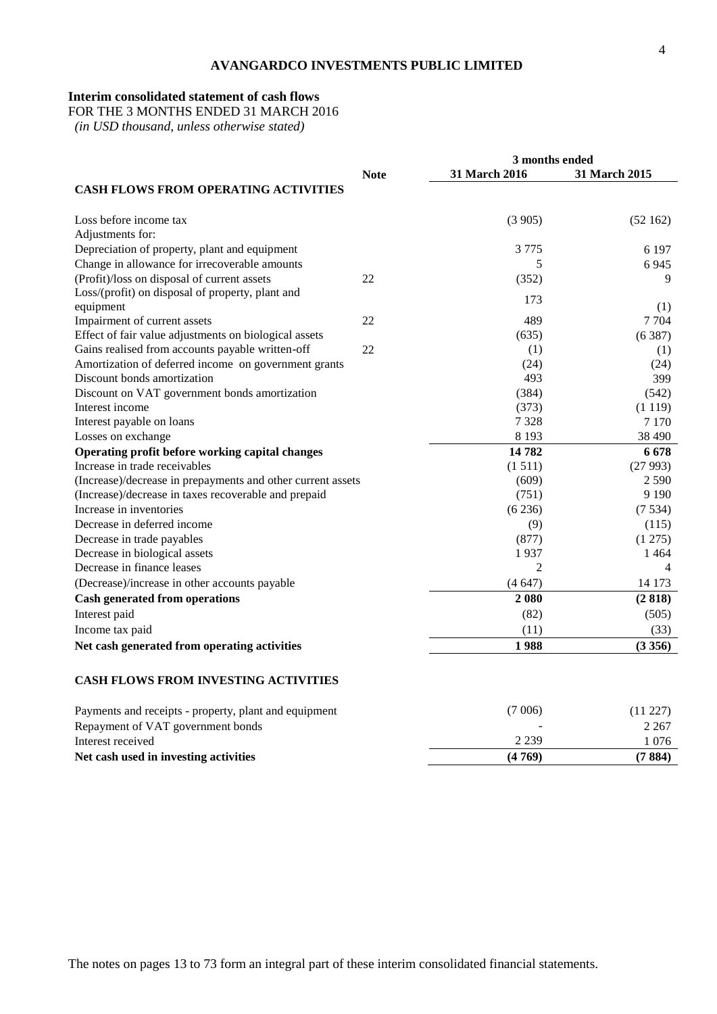#### **Interim consolidated statement of cash flows**

FOR THE 3 MONTHS ENDED 31 MARCH 2016

 *(in USD thousand, unless otherwise stated)*

|                                                             |             | 3 months ended |               |  |
|-------------------------------------------------------------|-------------|----------------|---------------|--|
|                                                             | <b>Note</b> | 31 March 2016  | 31 March 2015 |  |
| <b>CASH FLOWS FROM OPERATING ACTIVITIES</b>                 |             |                |               |  |
| Loss before income tax                                      |             | (3905)         | (52162)       |  |
| Adjustments for:                                            |             |                |               |  |
| Depreciation of property, plant and equipment               |             | 3 7 7 5        | 6 1 9 7       |  |
| Change in allowance for irrecoverable amounts               |             | 5              | 6 9 4 5       |  |
| (Profit)/loss on disposal of current assets                 | 22          | (352)          | 9             |  |
| Loss/(profit) on disposal of property, plant and            |             | 173            |               |  |
| equipment                                                   |             |                | (1)           |  |
| Impairment of current assets                                | 22          | 489            | 7 7 0 4       |  |
| Effect of fair value adjustments on biological assets       |             | (635)          | (6387)        |  |
| Gains realised from accounts payable written-off            | 22          | (1)            | (1)           |  |
| Amortization of deferred income on government grants        |             | (24)           | (24)          |  |
| Discount bonds amortization                                 |             | 493            | 399           |  |
| Discount on VAT government bonds amortization               |             | (384)          | (542)         |  |
| Interest income                                             |             | (373)          | (1119)        |  |
| Interest payable on loans                                   |             | 7 3 2 8        | 7 1 7 0       |  |
| Losses on exchange                                          |             | 8 1 9 3        | 38 490        |  |
| Operating profit before working capital changes             |             | 14782          | 6678          |  |
| Increase in trade receivables                               |             | (1511)         | (27993)       |  |
| (Increase)/decrease in prepayments and other current assets |             | (609)          | 2 5 9 0       |  |
| (Increase)/decrease in taxes recoverable and prepaid        |             | (751)          | 9 1 9 0       |  |
| Increase in inventories                                     |             | (6236)         | (7534)        |  |
| Decrease in deferred income                                 |             | (9)            | (115)         |  |
| Decrease in trade payables                                  |             | (877)          | (1275)        |  |
| Decrease in biological assets                               |             | 1937           | 1 4 6 4       |  |
| Decrease in finance leases                                  |             | $\overline{2}$ | 4             |  |
| (Decrease)/increase in other accounts payable               |             | (4647)         | 14 173        |  |
| <b>Cash generated from operations</b>                       |             | 2 0 8 0        | (2818)        |  |
| Interest paid                                               |             | (82)           | (505)         |  |
| Income tax paid                                             |             | (11)           | (33)          |  |
| Net cash generated from operating activities                |             | 1988           | (3356)        |  |
|                                                             |             |                |               |  |
| <b>CASH FLOWS FROM INVESTING ACTIVITIES</b>                 |             |                |               |  |
| Payments and receipts - property, plant and equipment       |             | (7006)         | (11 227)      |  |

| Net cash used in investing activities                 | (4769)  | (7884)    |
|-------------------------------------------------------|---------|-----------|
| Interest received                                     | 2 2 3 9 | 076       |
| Repayment of VAT government bonds                     | -       | 2 2 6 7   |
| Payments and receipts - property, plant and equipment | 7 VVV)  | (11 22 11 |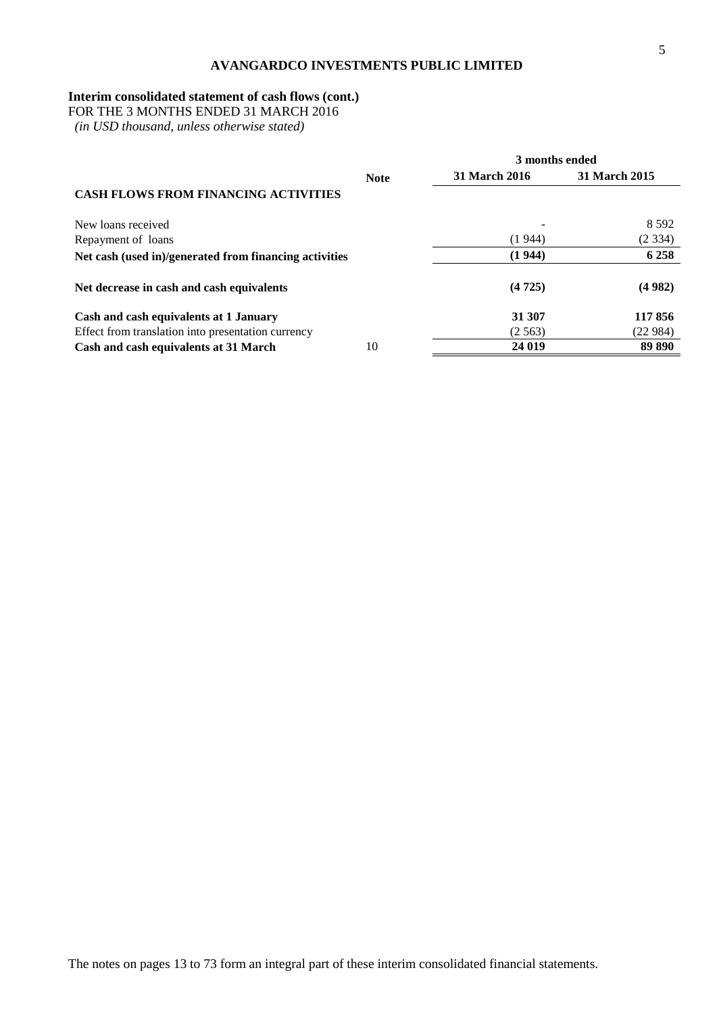# **Interim consolidated statement of cash flows (cont.)**

FOR THE 3 MONTHS ENDED 31 MARCH 2016

 *(in USD thousand, unless otherwise stated)*

|                                                        | <b>Note</b> | 31 March 2016 | 31 March 2015 |
|--------------------------------------------------------|-------------|---------------|---------------|
| <b>CASH FLOWS FROM FINANCING ACTIVITIES</b>            |             |               |               |
| New loans received                                     |             |               | 8 5 9 2       |
| Repayment of loans                                     |             | (1944)        | (2334)        |
| Net cash (used in)/generated from financing activities |             | (1944)        | 6 2 5 8       |
| Net decrease in cash and cash equivalents              |             | (4725)        | (4982)        |
| Cash and cash equivalents at 1 January                 |             | 31 307        | 117856        |
| Effect from translation into presentation currency     |             | (2.563)       | (22984)       |
| Cash and cash equivalents at 31 March                  | 10          | 24 019        | 89 890        |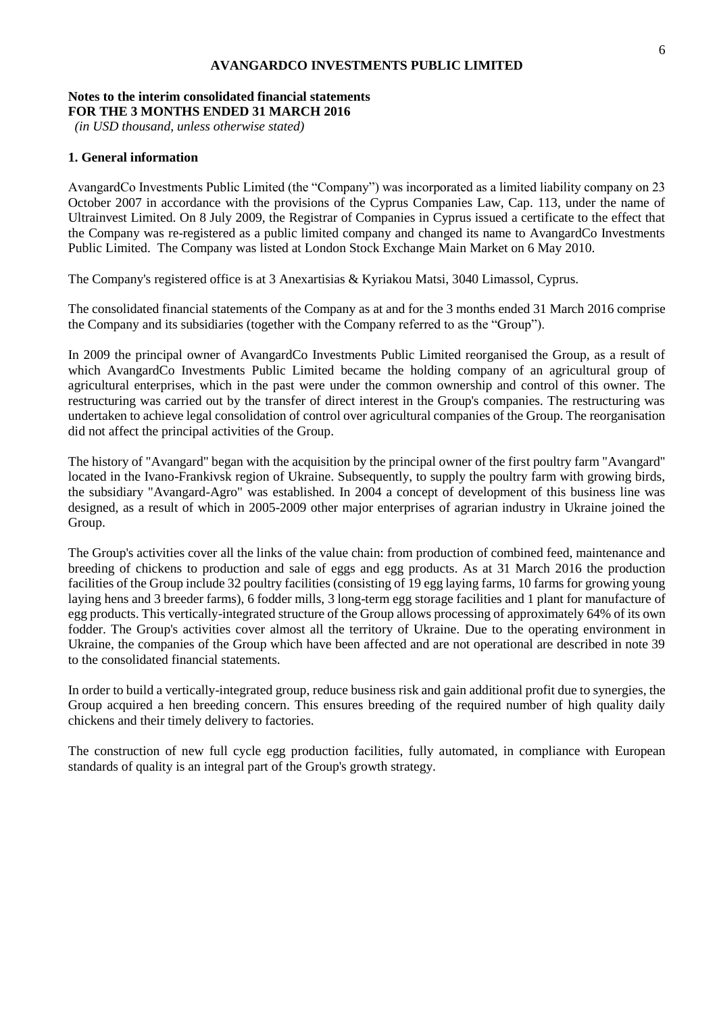#### **Notes to the interim consolidated financial statements FOR THE 3 MONTHS ENDED 31 MARCH 2016**

*(in USD thousand, unless otherwise stated)*

#### **1. General information**

AvangardCo Investments Public Limited (the "Company") was incorporated as a limited liability company on 23 October 2007 in accordance with the provisions of the Cyprus Companies Law, Cap. 113, under the name of Ultrainvest Limited. On 8 July 2009, the Registrar of Companies in Cyprus issued a certificate to the effect that the Company was re-registered as a public limited company and changed its name to AvangardCo Investments Public Limited. The Company was listed at London Stock Exchange Main Market on 6 May 2010.

The Company's registered office is at 3 Anexartisias & Kyriakou Matsi, 3040 Limassol, Cyprus.

The consolidated financial statements of the Company as at and for the 3 months ended 31 March 2016 comprise the Company and its subsidiaries (together with the Company referred to as the "Group").

In 2009 the principal owner of AvangardCo Investments Public Limited reorganised the Group, as a result of which AvangardCo Investments Public Limited became the holding company of an agricultural group of agricultural enterprises, which in the past were under the common ownership and control of this owner. The restructuring was carried out by the transfer of direct interest in the Group's companies. The restructuring was undertaken to achieve legal consolidation of control over agricultural companies of the Group. The reorganisation did not affect the principal activities of the Group.

The history of "Avangard" began with the acquisition by the principal owner of the first poultry farm "Avangard" located in the Ivano-Frankivsk region of Ukraine. Subsequently, to supply the poultry farm with growing birds, the subsidiary "Avangard-Agro" was established. In 2004 a concept of development of this business line was designed, as a result of which in 2005-2009 other major enterprises of agrarian industry in Ukraine joined the Group.

The Group's activities cover all the links of the value chain: from production of combined feed, maintenance and breeding of chickens to production and sale of eggs and egg products. As at 31 March 2016 the production facilities of the Group include 32 poultry facilities (consisting of 19 egg laying farms, 10 farms for growing young laying hens and 3 breeder farms), 6 fodder mills, 3 long-term egg storage facilities and 1 plant for manufacture of egg products. This vertically-integrated structure of the Group allows processing of approximately 64% of its own fodder. The Group's activities cover almost all the territory of Ukraine. Due to the operating environment in Ukraine, the companies of the Group which have been affected and are not operational are described in note 39 to the consolidated financial statements.

In order to build a vertically-integrated group, reduce business risk and gain additional profit due to synergies, the Group acquired a hen breeding concern. This ensures breeding of the required number of high quality daily chickens and their timely delivery to factories.

The construction of new full cycle egg production facilities, fully automated, in compliance with European standards of quality is an integral part of the Group's growth strategy.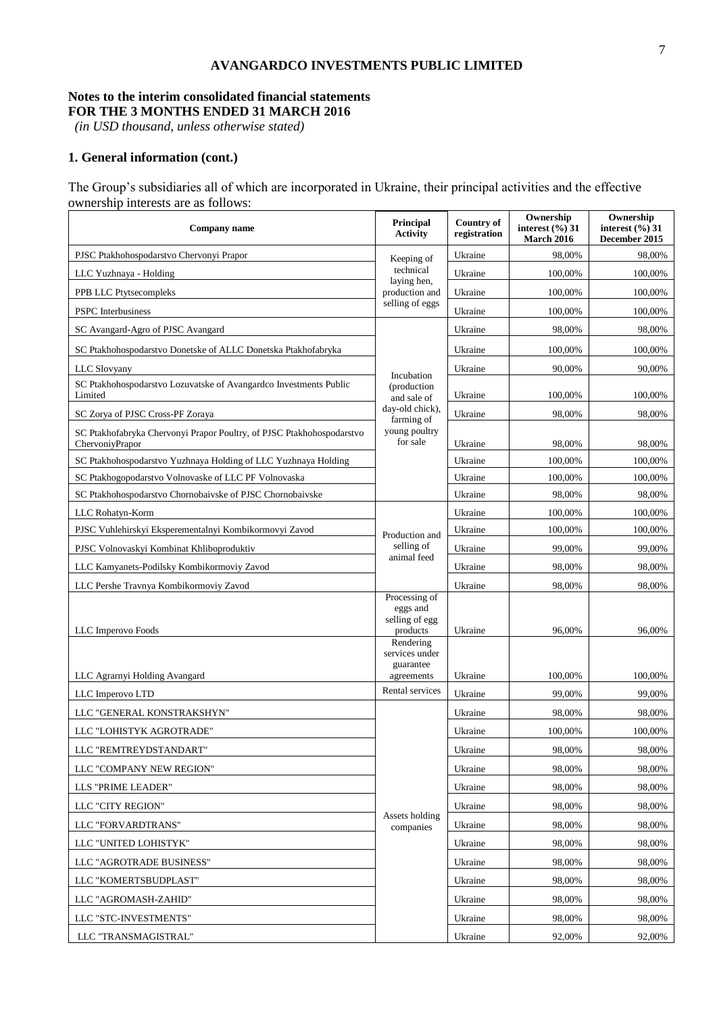#### **Notes to the interim consolidated financial statements FOR THE 3 MONTHS ENDED 31 MARCH 2016**

*(in USD thousand, unless otherwise stated)*

# **1. General information (cont.)**

The Group's subsidiaries all of which are incorporated in Ukraine, their principal activities and the effective ownership interests are as follows:

| Company name                                                                             | <b>Principal</b><br><b>Activity</b>         | <b>Country of</b><br>registration | Ownership<br>interest $(\%$ ) 31<br><b>March 2016</b> | Ownership<br>interest $(\%$ ) 31<br>December 2015 |
|------------------------------------------------------------------------------------------|---------------------------------------------|-----------------------------------|-------------------------------------------------------|---------------------------------------------------|
| PJSC Ptakhohospodarstvo Chervonyi Prapor                                                 | Keeping of                                  | Ukraine                           | 98,00%                                                | 98,00%                                            |
| LLC Yuzhnaya - Holding                                                                   | technical                                   | Ukraine                           | 100,00%                                               | 100,00%                                           |
| PPB LLC Ptytsecompleks                                                                   | laying hen,<br>production and               | Ukraine                           | 100,00%                                               | 100,00%                                           |
| <b>PSPC</b> Interbusiness                                                                | selling of eggs                             | Ukraine                           | 100,00%                                               | 100,00%                                           |
| SC Avangard-Agro of PJSC Avangard                                                        |                                             | Ukraine                           | 98,00%                                                | 98,00%                                            |
| SC Ptakhohospodarstvo Donetske of ALLC Donetska Ptakhofabryka                            |                                             | Ukraine                           | 100,00%                                               | 100,00%                                           |
| <b>LLC</b> Slovyany                                                                      | Incubation                                  | Ukraine                           | 90,00%                                                | 90,00%                                            |
| SC Ptakhohospodarstvo Lozuvatske of Avangardco Investments Public<br>Limited             | (production<br>and sale of                  | Ukraine                           | 100,00%                                               | 100,00%                                           |
| SC Zorya of PJSC Cross-PF Zoraya                                                         | day-old chick),<br>farming of               | Ukraine                           | 98,00%                                                | 98,00%                                            |
| SC Ptakhofabryka Chervonyi Prapor Poultry, of PJSC Ptakhohospodarstvo<br>ChervoniyPrapor | young poultry<br>for sale                   | Ukraine                           | 98,00%                                                | 98,00%                                            |
| SC Ptakhohospodarstvo Yuzhnaya Holding of LLC Yuzhnaya Holding                           |                                             | Ukraine                           | 100,00%                                               | 100,00%                                           |
| SC Ptakhogopodarstvo Volnovaske of LLC PF Volnovaska                                     |                                             | Ukraine                           | 100,00%                                               | 100,00%                                           |
| SC Ptakhohospodarstvo Chornobaivske of PJSC Chornobaivske                                |                                             | Ukraine                           | 98,00%                                                | 98,00%                                            |
| LLC Rohatyn-Korm                                                                         |                                             | Ukraine                           | 100,00%                                               | 100,00%                                           |
| PJSC Vuhlehirskyi Eksperementalnyi Kombikormovyi Zavod                                   | Production and                              | Ukraine                           | 100,00%                                               | 100,00%                                           |
| PJSC Volnovaskyi Kombinat Khliboproduktiv                                                | selling of<br>animal feed                   | Ukraine                           | 99,00%                                                | 99,00%                                            |
| LLC Kamyanets-Podilsky Kombikormoviy Zavod                                               |                                             | Ukraine                           | 98,00%                                                | 98,00%                                            |
| LLC Pershe Travnya Kombikormoviy Zavod                                                   |                                             | Ukraine                           | 98,00%                                                | 98,00%                                            |
|                                                                                          | Processing of<br>eggs and<br>selling of egg |                                   |                                                       |                                                   |
| LLC Imperovo Foods                                                                       | products<br>Rendering                       | Ukraine                           | 96,00%                                                | 96,00%                                            |
|                                                                                          | services under<br>guarantee                 |                                   |                                                       |                                                   |
| LLC Agrarnyi Holding Avangard                                                            | agreements                                  | Ukraine                           | 100,00%                                               | 100,00%                                           |
| LLC Imperovo LTD                                                                         | Rental services                             | Ukraine                           | 99,00%                                                | 99.00%                                            |
| LLC "GENERAL KONSTRAKSHYN"                                                               |                                             | Ukraine                           | 98,00%                                                | 98,00%                                            |
| LLC "LOHISTYK AGROTRADE"                                                                 |                                             | Ukraine                           | 100,00%                                               | 100,00%                                           |
| LLC "REMTREYDSTANDART"                                                                   |                                             | Ukraine                           | 98,00%                                                | 98,00%                                            |
| LLC "COMPANY NEW REGION"                                                                 |                                             | Ukraine                           | 98,00%                                                | 98.00%                                            |
| LLS "PRIME LEADER"                                                                       |                                             | Ukraine                           | 98,00%                                                | 98,00%                                            |
| LLC "CITY REGION"                                                                        | Assets holding                              | Ukraine                           | 98,00%                                                | 98,00%                                            |
| LLC "FORVARDTRANS"                                                                       | companies                                   | Ukraine                           | 98,00%                                                | 98,00%                                            |
| LLC "UNITED LOHISTYK"                                                                    |                                             | Ukraine                           | 98,00%                                                | 98,00%                                            |
| LLC "AGROTRADE BUSINESS"                                                                 |                                             | Ukraine                           | 98,00%                                                | 98,00%                                            |
| LLC "KOMERTSBUDPLAST"                                                                    |                                             | Ukraine                           | 98,00%                                                | 98,00%                                            |
| LLC "AGROMASH-ZAHID"                                                                     |                                             | Ukraine                           | 98,00%                                                | 98,00%                                            |
| LLC "STC-INVESTMENTS"                                                                    |                                             | Ukraine                           | 98,00%                                                | 98,00%                                            |
| LLC "TRANSMAGISTRAL"                                                                     |                                             | Ukraine                           | 92,00%                                                | 92,00%                                            |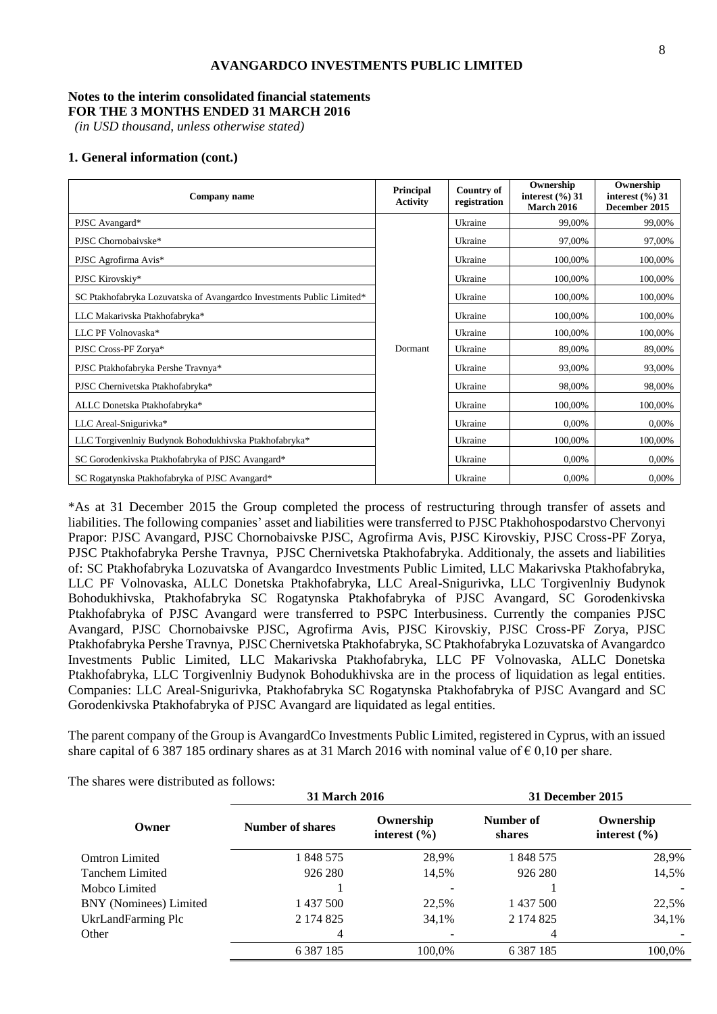#### **Notes to the interim consolidated financial statements FOR THE 3 MONTHS ENDED 31 MARCH 2016**

*(in USD thousand, unless otherwise stated)*

#### **1. General information (cont.)**

| Company name                                                          | <b>Principal</b><br><b>Activity</b> | <b>Country of</b><br>registration | Ownership<br>interest $(\%$ ) 31<br><b>March 2016</b> | Ownership<br>interest $(\%$ ) 31<br>December 2015 |
|-----------------------------------------------------------------------|-------------------------------------|-----------------------------------|-------------------------------------------------------|---------------------------------------------------|
| PJSC Avangard*                                                        |                                     | Ukraine                           | 99,00%                                                | 99,00%                                            |
| PJSC Chornobaivske*                                                   |                                     | Ukraine                           | 97,00%                                                | 97,00%                                            |
| PJSC Agrofirma Avis*                                                  |                                     | Ukraine                           | 100,00%                                               | 100,00%                                           |
| PJSC Kirovskiy*                                                       |                                     | Ukraine                           | 100,00%                                               | 100,00%                                           |
| SC Ptakhofabryka Lozuvatska of Avangardco Investments Public Limited* |                                     | Ukraine                           | 100,00%                                               | 100,00%                                           |
| LLC Makarivska Ptakhofabryka*                                         |                                     | Ukraine                           | 100,00%                                               | 100,00%                                           |
| LLC PF Volnovaska*                                                    |                                     | Ukraine                           | 100,00%                                               | 100,00%                                           |
| PJSC Cross-PF Zorya*                                                  | Dormant                             | Ukraine                           | 89,00%                                                | 89,00%                                            |
| PJSC Ptakhofabryka Pershe Travnya*                                    |                                     | Ukraine                           | 93,00%                                                | 93,00%                                            |
| PJSC Chernivetska Ptakhofabryka*                                      |                                     | Ukraine                           | 98,00%                                                | 98,00%                                            |
| ALLC Donetska Ptakhofabryka*                                          |                                     | Ukraine                           | 100,00%                                               | 100,00%                                           |
| LLC Areal-Snigurivka*                                                 |                                     | Ukraine                           | 0,00%                                                 | 0,00%                                             |
| LLC Torgivenlniy Budynok Bohodukhivska Ptakhofabryka*                 |                                     | Ukraine                           | 100,00%                                               | 100,00%                                           |
| SC Gorodenkivska Ptakhofabryka of PJSC Avangard*                      |                                     | Ukraine                           | 0,00%                                                 | 0,00%                                             |
| SC Rogatynska Ptakhofabryka of PJSC Avangard*                         |                                     | Ukraine                           | 0,00%                                                 | 0,00%                                             |

\*As at 31 December 2015 the Group completed the process of restructuring through transfer of assets and liabilities. The following companies' asset and liabilities were transferred to PJSC Ptakhohospodarstvo Chervonyi Prapor: PJSC Avangard, PJSC Chornobaivske PJSC, Agrofirma Avis, PJSC Kirovskiy, PJSC Cross-PF Zorya, PJSC Ptakhofabryka Pershe Travnya, PJSC Chernivetska Ptakhofabryka. Additionaly, the assets and liabilities of: SC Ptakhofabryka Lozuvatska of Avangardco Investments Public Limited, LLC Makarivska Ptakhofabryka, LLC PF Volnovaska, ALLC Donetska Ptakhofabryka, LLC Areal-Snigurivka, LLC Torgivenlniy Budynok Bohodukhivska, Ptakhofabryka SC Rogatynska Ptakhofabryka of PJSC Avangard, SC Gorodenkivska Ptakhofabryka of PJSC Avangard were transferred to PSPC Interbusiness. Currently the companies PJSC Avangard, PJSC Chornobaivske PJSC, Agrofirma Avis, PJSC Kirovskiy, PJSC Cross-PF Zorya, PJSC Ptakhofabryka Pershe Travnya, PJSC Chernivetska Ptakhofabryka, SC Ptakhofabryka Lozuvatska of Avangardco Investments Public Limited, LLC Makarivska Ptakhofabryka, LLC PF Volnovaska, ALLC Donetska Ptakhofabryka, LLC Torgivenlniy Budynok Bohodukhivska are in the process of liquidation as legal entities. Companies: LLC Areal-Snigurivka, Ptakhofabryka SC Rogatynska Ptakhofabryka of PJSC Avangard and SC Gorodenkivska Ptakhofabryka of PJSC Avangard are liquidated as legal entities.

The parent company of the Group is AvangardCo Investments Public Limited, registered in Cyprus, with an issued share capital of 6 387 185 ordinary shares as at 31 March 2016 with nominal value of  $\epsilon$  0,10 per share.

The shares were distributed as follows:

|                               | <b>31 March 2016</b> |                               | 31 December 2015    |                               |  |
|-------------------------------|----------------------|-------------------------------|---------------------|-------------------------------|--|
| Owner                         | Number of shares     | Ownership<br>interest $(\% )$ | Number of<br>shares | Ownership<br>interest $(\% )$ |  |
| <b>Omtron Limited</b>         | 1 848 575            | 28,9%                         | 1 848 575           | 28,9%                         |  |
| <b>Tanchem Limited</b>        | 926 280              | 14,5%                         | 926 280             | 14,5%                         |  |
| Mobco Limited                 |                      |                               |                     |                               |  |
| <b>BNY</b> (Nominees) Limited | 1 437 500            | 22,5%                         | 1 437 500           | 22,5%                         |  |
| UkrLandFarming Plc            | 2 174 825            | 34,1%                         | 2 174 825           | 34,1%                         |  |
| Other                         | 4                    | $\overline{\phantom{0}}$      | 4                   |                               |  |
|                               | 6 3 8 7 1 8 5        | 100.0%                        | 6 3 8 7 1 8 5       | 100.0%                        |  |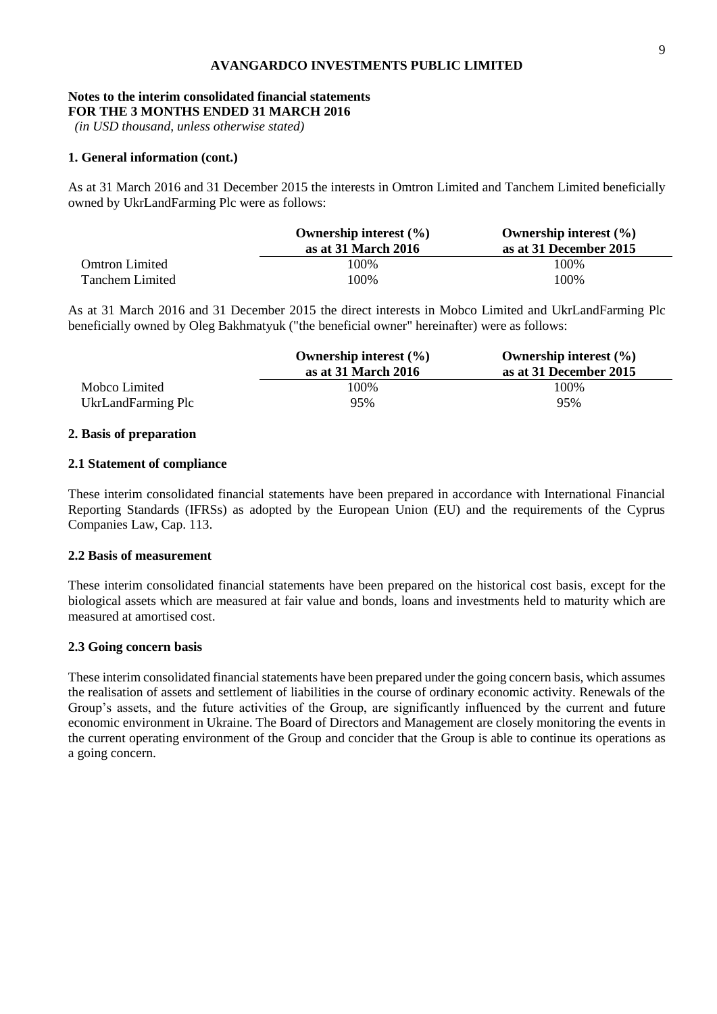#### **Notes to the interim consolidated financial statements FOR THE 3 MONTHS ENDED 31 MARCH 2016**

*(in USD thousand, unless otherwise stated)*

#### **1. General information (cont.)**

As at 31 March 2016 and 31 December 2015 the interests in Omtron Limited and Tanchem Limited beneficially owned by UkrLandFarming Plc were as follows:

|                       | Ownership interest $(\% )$ | Ownership interest $(\% )$ |
|-----------------------|----------------------------|----------------------------|
|                       | as at 31 March 2016        | as at 31 December 2015     |
| <b>Omtron Limited</b> | 100%                       | 100%                       |
| Tanchem Limited       | 100%                       | 100%                       |

As at 31 March 2016 and 31 December 2015 the direct interests in Mobco Limited and UkrLandFarming Plc beneficially owned by Oleg Bakhmatyuk ("the beneficial owner" hereinafter) were as follows:

|                    | Ownership interest $(\% )$<br>as at 31 March 2016 | Ownership interest $(\% )$<br>as at 31 December 2015 |
|--------------------|---------------------------------------------------|------------------------------------------------------|
| Mobco Limited      | 100%                                              | 100%                                                 |
| UkrLandFarming Plc | 95%                                               | 95%                                                  |

#### **2. Basis of preparation**

#### **2.1 Statement of compliance**

These interim consolidated financial statements have been prepared in accordance with International Financial Reporting Standards (IFRSs) as adopted by the European Union (EU) and the requirements of the Cyprus Companies Law, Cap. 113.

#### **2.2 Basis of measurement**

These interim consolidated financial statements have been prepared on the historical cost basis, except for the biological assets which are measured at fair value and bonds, loans and investments held to maturity which are measured at amortised cost.

### **2.3 Going concern basis**

These interim consolidated financial statements have been prepared under the going concern basis, which assumes the realisation of assets and settlement of liabilities in the course of ordinary economic activity. Renewals of the Group's assets, and the future activities of the Group, are significantly influenced by the current and future economic environment in Ukraine. The Board of Directors and Management are closely monitoring the events in the current operating environment of the Group and concider that the Group is able to continue its operations as a going concern.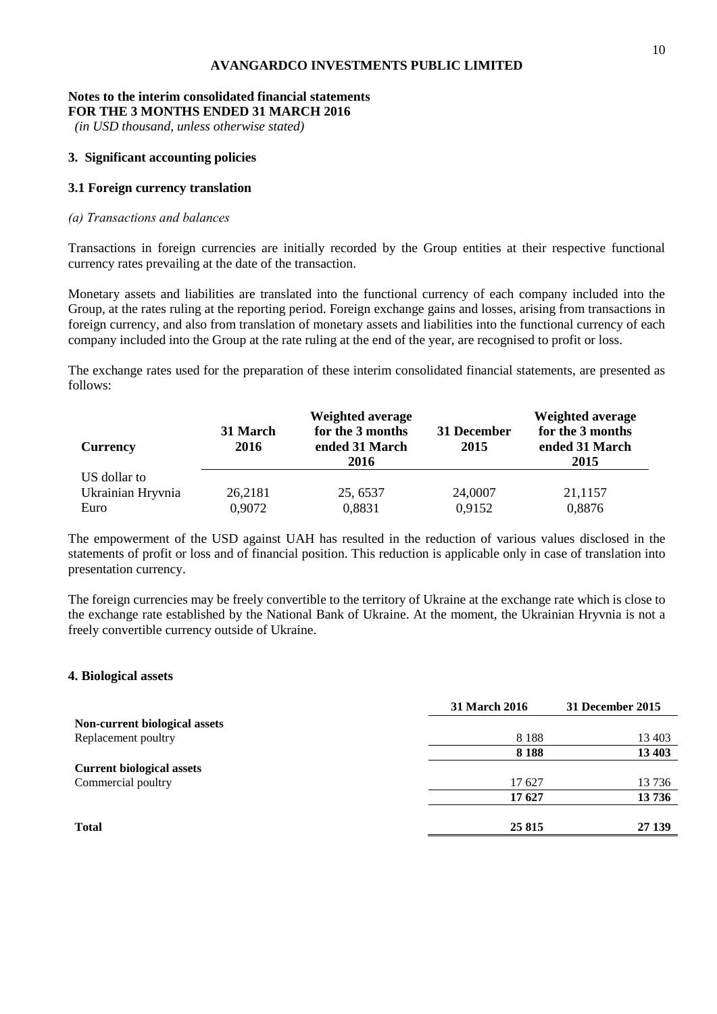#### **Notes to the interim consolidated financial statements FOR THE 3 MONTHS ENDED 31 MARCH 2016**

*(in USD thousand, unless otherwise stated)*

#### **3. Significant accounting policies**

#### **3.1 Foreign currency translation**

#### *(а) Transactions and balances*

Transactions in foreign currencies are initially recorded by the Group entities at their respective functional currency rates prevailing at the date of the transaction.

Monetary assets and liabilities are translated into the functional currency of each company included into the Group, at the rates ruling at the reporting period. Foreign exchange gains and losses, arising from transactions in foreign currency, and also from translation of monetary assets and liabilities into the functional currency of each company included into the Group at the rate ruling at the end of the year, are recognised to profit or loss.

The exchange rates used for the preparation of these interim consolidated financial statements, are presented as follows:

| <b>Currency</b>   | 31 March<br>2016 | <b>Weighted average</b><br>for the 3 months<br>ended 31 March<br>2016 | 31 December<br>2015 | <b>Weighted average</b><br>for the 3 months<br>ended 31 March<br>2015 |
|-------------------|------------------|-----------------------------------------------------------------------|---------------------|-----------------------------------------------------------------------|
| US dollar to      |                  |                                                                       |                     |                                                                       |
| Ukrainian Hryvnia | 26,2181          | 25, 6537                                                              | 24,0007             | 21,1157                                                               |
| Euro              | 0,9072           | 0,8831                                                                | 0,9152              | 0,8876                                                                |

The empowerment of the USD against UAH has resulted in the reduction of various values disclosed in the statements of profit or loss and of financial position. This reduction is applicable only in case of translation into presentation currency.

The foreign currencies may be freely convertible to the territory of Ukraine at the exchange rate which is close to the exchange rate established by the National Bank of Ukraine. At the moment, the Ukrainian Hryvnia is not a freely convertible currency outside of Ukraine.

#### **4. Biological assets**

| 8 1 8 8 | 13 403 |
|---------|--------|
| 8 1 8 8 | 13 403 |
|         |        |
| 17 627  | 13736  |
| 17627   | 13736  |
| 25 8 15 | 27 139 |
|         |        |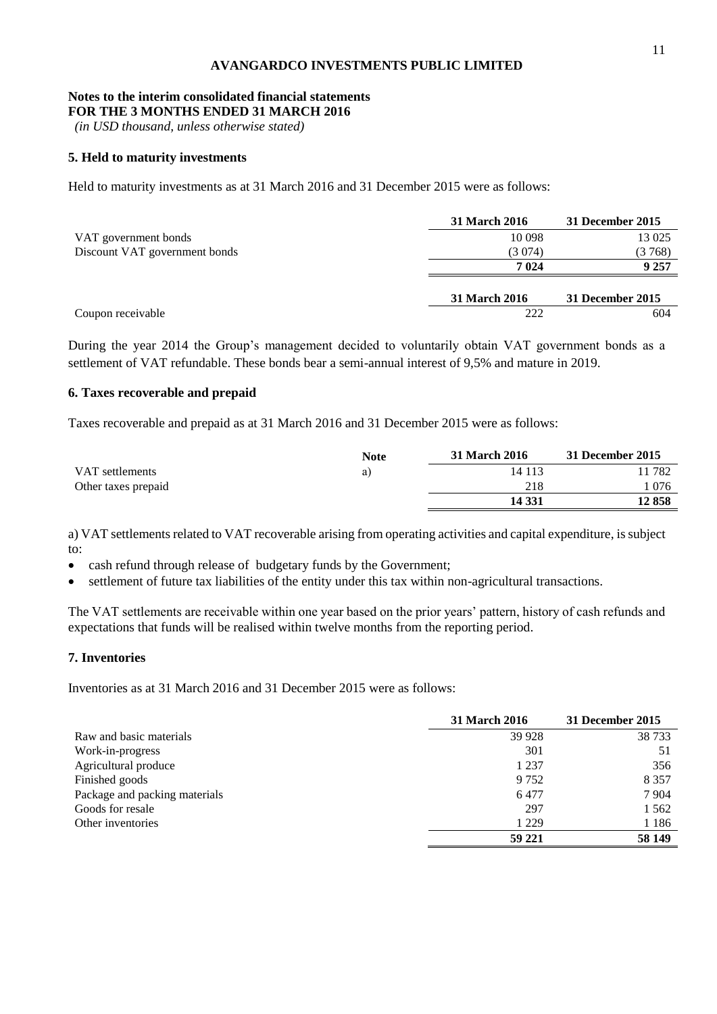# **Notes to the interim consolidated financial statements**

**FOR THE 3 MONTHS ENDED 31 MARCH 2016**

*(in USD thousand, unless otherwise stated)*

#### **5. Held to maturity investments**

Held to maturity investments as at 31 March 2016 and 31 December 2015 were as follows:

|                               | <b>31 March 2016</b> | 31 December 2015 |
|-------------------------------|----------------------|------------------|
| VAT government bonds          | 10 098               | 13 0 25          |
| Discount VAT government bonds | (3 074)              | (3768)           |
|                               | 7 0 24               | 9 257            |
|                               | 31 March 2016        | 31 December 2015 |
| Coupon receivable             | 222                  | 604              |

During the year 2014 the Group's management decided to voluntarily obtain VAT government bonds as a settlement of VAT refundable. These bonds bear a semi-annual interest of 9,5% and mature in 2019.

#### **6. Taxes recoverable and prepaid**

Taxes recoverable and prepaid as at 31 March 2016 and 31 December 2015 were as follows:

|                     | <b>Note</b> | <b>31 March 2016</b> | 31 December 2015 |
|---------------------|-------------|----------------------|------------------|
| VAT settlements     | a)          | 14 1 13              | 11 782           |
| Other taxes prepaid |             | 218                  | ' 076            |
|                     |             | 14 331               | 12 858           |

a) VAT settlements related to VAT recoverable arising from operating activities and capital expenditure, is subject to:

- cash refund through release of budgetary funds by the Government;
- settlement of future tax liabilities of the entity under this tax within non-agricultural transactions.

The VAT settlements are receivable within one year based on the prior years' pattern, history of cash refunds and expectations that funds will be realised within twelve months from the reporting period.

# **7. Inventories**

Inventories as at 31 March 2016 and 31 December 2015 were as follows:

|                               | <b>31 March 2016</b> | 31 December 2015 |
|-------------------------------|----------------------|------------------|
| Raw and basic materials       | 39 9 28              | 38 733           |
| Work-in-progress              | 301                  | 51               |
| Agricultural produce          | 1 2 3 7              | 356              |
| Finished goods                | 9 7 5 2              | 8 3 5 7          |
| Package and packing materials | 6477                 | 7 9 0 4          |
| Goods for resale              | 297                  | 1 5 6 2          |
| Other inventories             | 1 2 2 9              | 1 1 8 6          |
|                               | 59 221               | 58 149           |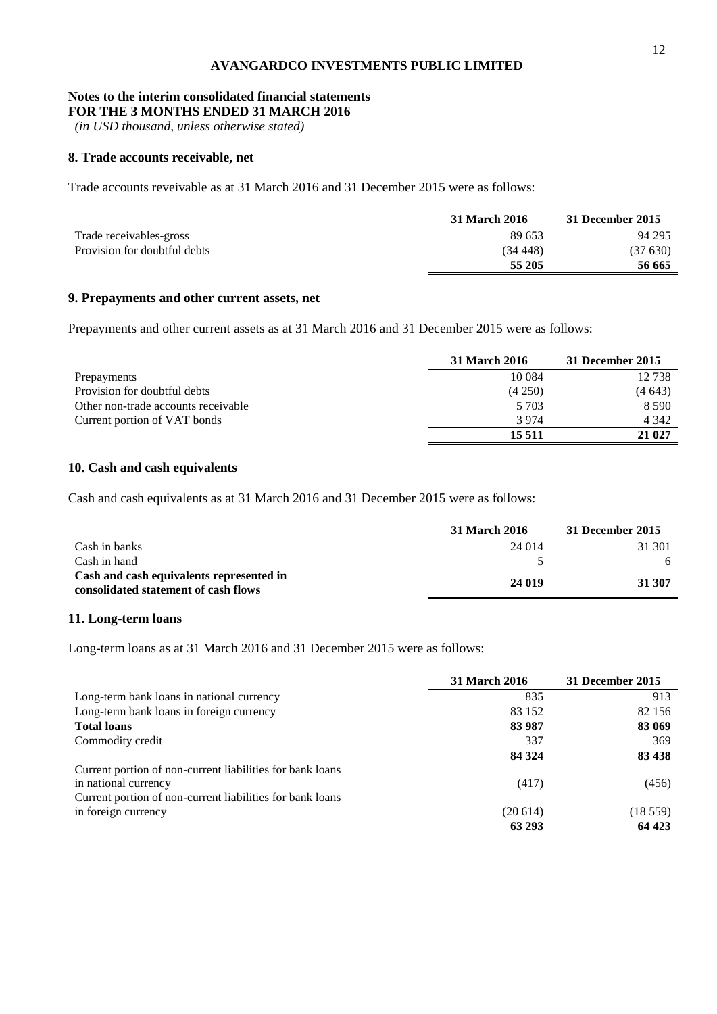# **Notes to the interim consolidated financial statements**

**FOR THE 3 MONTHS ENDED 31 MARCH 2016**

*(in USD thousand, unless otherwise stated)*

#### **8. Trade accounts receivable, net**

Trade accounts reveivable as at 31 March 2016 and 31 December 2015 were as follows:

|                              | 31 March 2016 | 31 December 2015 |
|------------------------------|---------------|------------------|
| Trade receivables-gross      | 89 653        | 94 295           |
| Provision for doubtful debts | (34 448)      | (37 630)         |
|                              | 55 205        | 56 665           |

# **9. Prepayments and other current assets, net**

Prepayments and other current assets as at 31 March 2016 and 31 December 2015 were as follows:

|                                     | 31 March 2016 | 31 December 2015 |
|-------------------------------------|---------------|------------------|
| Prepayments                         | 10 0 84       | 12 738           |
| Provision for doubtful debts        | (4250)        | (4643)           |
| Other non-trade accounts receivable | 5 7 0 3       | 8 5 9 0          |
| Current portion of VAT bonds        | 3974          | 4 3 4 2          |
|                                     | 15 5 11       | 21 027           |

# **10. Cash and cash equivalents**

Cash and cash equivalents as at 31 March 2016 and 31 December 2015 were as follows:

|                                                                                  | 31 March 2016 | 31 December 2015 |
|----------------------------------------------------------------------------------|---------------|------------------|
| Cash in banks                                                                    | 24 014        | 31 301           |
| Cash in hand                                                                     |               |                  |
| Cash and cash equivalents represented in<br>consolidated statement of cash flows | 24 019        | 31 307           |

#### **11. Long-term loans**

Long-term loans as at 31 March 2016 and 31 December 2015 were as follows:

|                                                           | <b>31 March 2016</b> | 31 December 2015 |
|-----------------------------------------------------------|----------------------|------------------|
| Long-term bank loans in national currency                 | 835                  | 913              |
| Long-term bank loans in foreign currency                  | 83 152               | 82 156           |
| <b>Total loans</b>                                        | 83 987               | 83 069           |
| Commodity credit                                          | 337                  | 369              |
|                                                           | 84 324               | 83 438           |
| Current portion of non-current liabilities for bank loans |                      |                  |
| in national currency                                      | (417)                | (456)            |
| Current portion of non-current liabilities for bank loans |                      |                  |
| in foreign currency                                       | (20614)              | (18559)          |
|                                                           | 63 293               | 64 423           |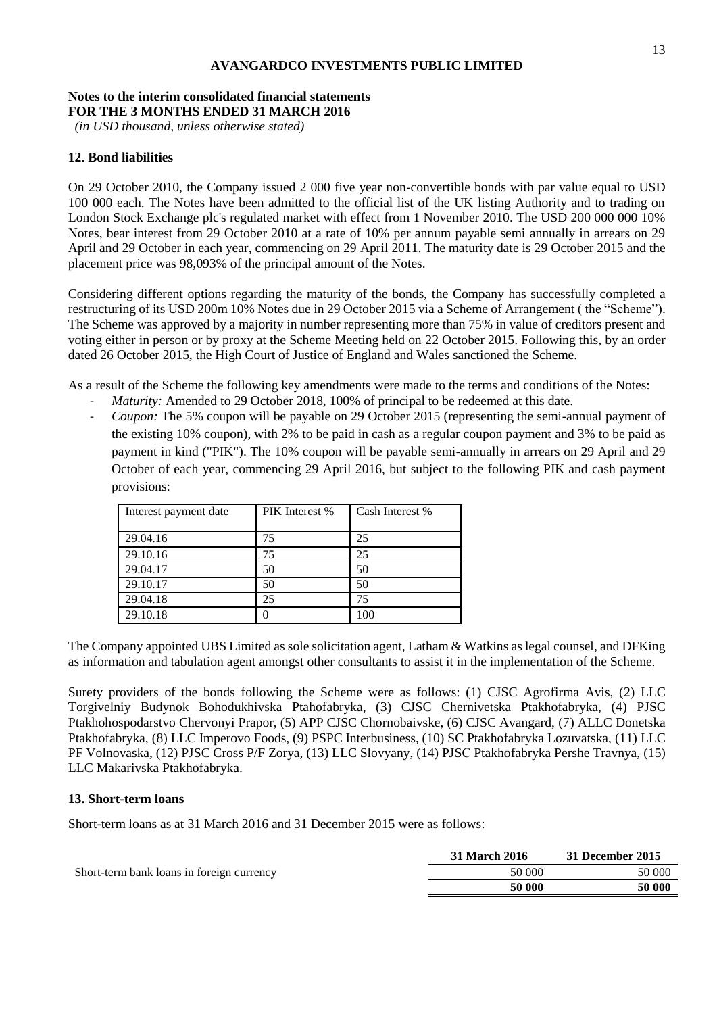#### **Notes to the interim consolidated financial statements FOR THE 3 MONTHS ENDED 31 MARCH 2016**

*(in USD thousand, unless otherwise stated)*

#### **12. Bond liabilities**

On 29 October 2010, the Company issued 2 000 five year non-convertible bonds with par value equal to USD 100 000 each. The Notes have been admitted to the official list of the UK listing Authority and to trading on London Stock Exchange plc's regulated market with effect from 1 November 2010. The USD 200 000 000 10% Notes, bear interest from 29 October 2010 at a rate of 10% per annum payable semi annually in arrears on 29 April and 29 October in each year, commencing on 29 April 2011. The maturity date is 29 October 2015 and the placement price was 98,093% of the principal amount of the Notes.

Considering different options regarding the maturity of the bonds, the Company has successfully completed a restructuring of its USD 200m 10% Notes due in 29 October 2015 via a Scheme of Arrangement ( the "Scheme"). The Scheme was approved by a majority in number representing more than 75% in value of creditors present and voting either in person or by proxy at the Scheme Meeting held on 22 October 2015. Following this, by an order dated 26 October 2015, the High Court of Justice of England and Wales sanctioned the Scheme.

As a result of the Scheme the following key amendments were made to the terms and conditions of the Notes:

- Maturity: Amended to 29 October 2018, 100% of principal to be redeemed at this date.
- *Coupon:* The 5% coupon will be payable on 29 October 2015 (representing the semi-annual payment of the existing 10% coupon), with 2% to be paid in cash as a regular coupon payment and 3% to be paid as payment in kind ("PIK"). The 10% coupon will be payable semi-annually in arrears on 29 April and 29 October of each year, commencing 29 April 2016, but subject to the following PIK and cash payment provisions:

| Interest payment date | PIK Interest % | Cash Interest % |
|-----------------------|----------------|-----------------|
| 29.04.16              | 75             | 25              |
| 29.10.16              | 75             | 25              |
| 29.04.17              | 50             | 50              |
| 29.10.17              | 50             | 50              |
| 29.04.18              | 25             | 75              |
| 29.10.18              |                | 100             |

The Company appointed UBS Limited as sole solicitation agent, Latham & Watkins as legal counsel, and DFKing as information and tabulation agent amongst other consultants to assist it in the implementation of the Scheme.

Surety providers of the bonds following the Scheme were as follows: (1) CJSC Agrofirma Avis, (2) LLC Torgivelniy Budynok Bohodukhivska Ptahofabryka, (3) CJSC Chernivetska Ptakhofabryka, (4) PJSC Ptakhohospodarstvo Chervonyi Prapor, (5) APP CJSC Chornobaivske, (6) CJSC Avangard, (7) ALLC Donetska Ptakhofabryka, (8) LLC Imperovo Foods, (9) PSPC Interbusiness, (10) SC Ptakhofabryka Lozuvatska, (11) LLC PF Volnovaska, (12) PJSC Cross P/F Zorya, (13) LLC Slovyany, (14) PJSС Ptakhofabryka Pershe Travnya, (15) LLC Makarivska Ptakhofabryka.

#### **13. Short-term loans**

Short-term loans as at 31 March 2016 and 31 December 2015 were as follows:

|                                           | 31 March 2016 | 31 December 2015 |
|-------------------------------------------|---------------|------------------|
| Short-term bank loans in foreign currency | 50 000        | 50 000           |
|                                           | 50 000        | 50 000           |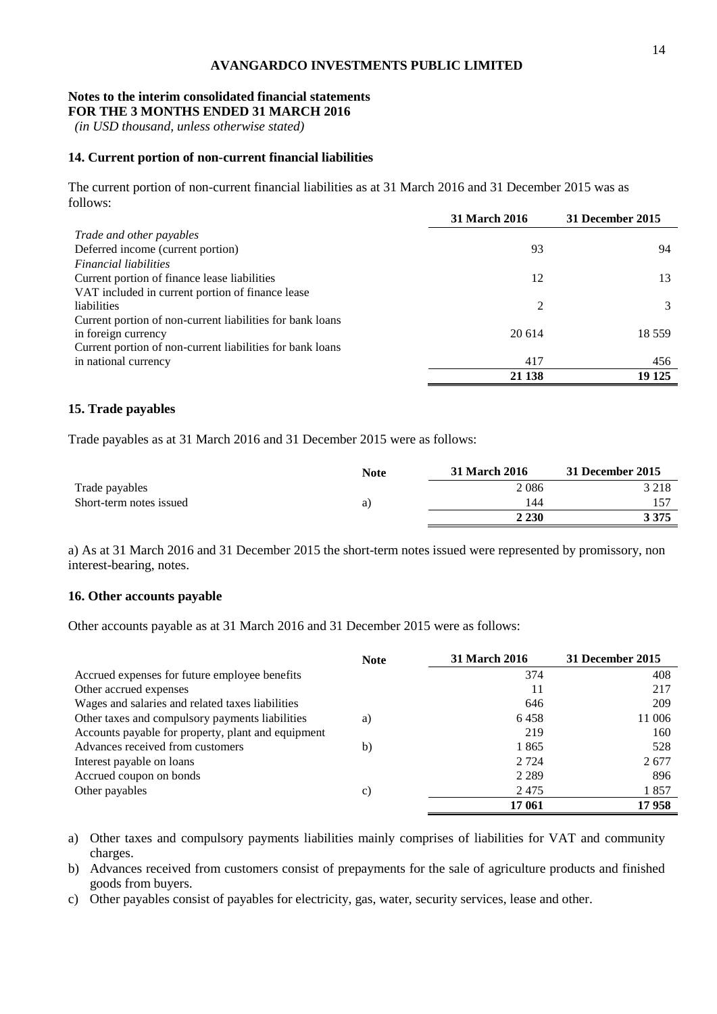#### **Notes to the interim consolidated financial statements FOR THE 3 MONTHS ENDED 31 MARCH 2016**

*(in USD thousand, unless otherwise stated)*

# **14. Current portion of non-current financial liabilities**

The current portion of non-current financial liabilities as at 31 March 2016 and 31 December 2015 was as follows:

|                                                           | <b>31 March 2016</b> | 31 December 2015 |
|-----------------------------------------------------------|----------------------|------------------|
| Trade and other payables                                  |                      |                  |
| Deferred income (current portion)                         | 93                   | 94               |
| <b>Financial liabilities</b>                              |                      |                  |
| Current portion of finance lease liabilities              | 12                   | 13               |
| VAT included in current portion of finance lease          |                      |                  |
| liabilities                                               | 2                    |                  |
| Current portion of non-current liabilities for bank loans |                      |                  |
| in foreign currency                                       | 20 614               | 18 5 5 9         |
| Current portion of non-current liabilities for bank loans |                      |                  |
| in national currency                                      | 417                  | 456              |
|                                                           | 21 138               | 19 125           |

### **15. Trade payables**

Trade payables as at 31 March 2016 and 31 December 2015 were as follows:

|                         | <b>Note</b> | <b>31 March 2016</b> | 31 December 2015 |
|-------------------------|-------------|----------------------|------------------|
| Trade payables          |             | 2086                 | 3 2 1 8          |
| Short-term notes issued | a)          | 144                  |                  |
|                         |             | 2 2 3 0              | 3 3 7 5          |

a) As at 31 March 2016 and 31 December 2015 the short-term notes issued were represented by promissory, non interest-bearing, notes.

### **16. Other accounts payable**

Other accounts payable as at 31 March 2016 and 31 December 2015 were as follows:

|                                                    | <b>Note</b> | <b>31 March 2016</b> | 31 December 2015 |
|----------------------------------------------------|-------------|----------------------|------------------|
| Accrued expenses for future employee benefits      |             | 374                  | 408              |
| Other accrued expenses                             |             |                      | 217              |
| Wages and salaries and related taxes liabilities   |             | 646                  | 209              |
| Other taxes and compulsory payments liabilities    | a)          | 6458                 | 11 006           |
| Accounts payable for property, plant and equipment |             | 219                  | 160              |
| Advances received from customers                   | b)          | 1865                 | 528              |
| Interest payable on loans                          |             | 2 7 2 4              | 2677             |
| Accrued coupon on bonds                            |             | 2 2 8 9              | 896              |
| Other payables                                     | c)          | 2475                 | 1857             |
|                                                    |             | 17 061               | 17958            |

a) Other taxes and compulsory payments liabilities mainly comprises of liabilities for VAT and community charges.

b) Advances received from customers consist of prepayments for the sale of agriculture products and finished goods from buyers.

c) Other payables consist of payables for electricity, gas, water, security services, lease and other.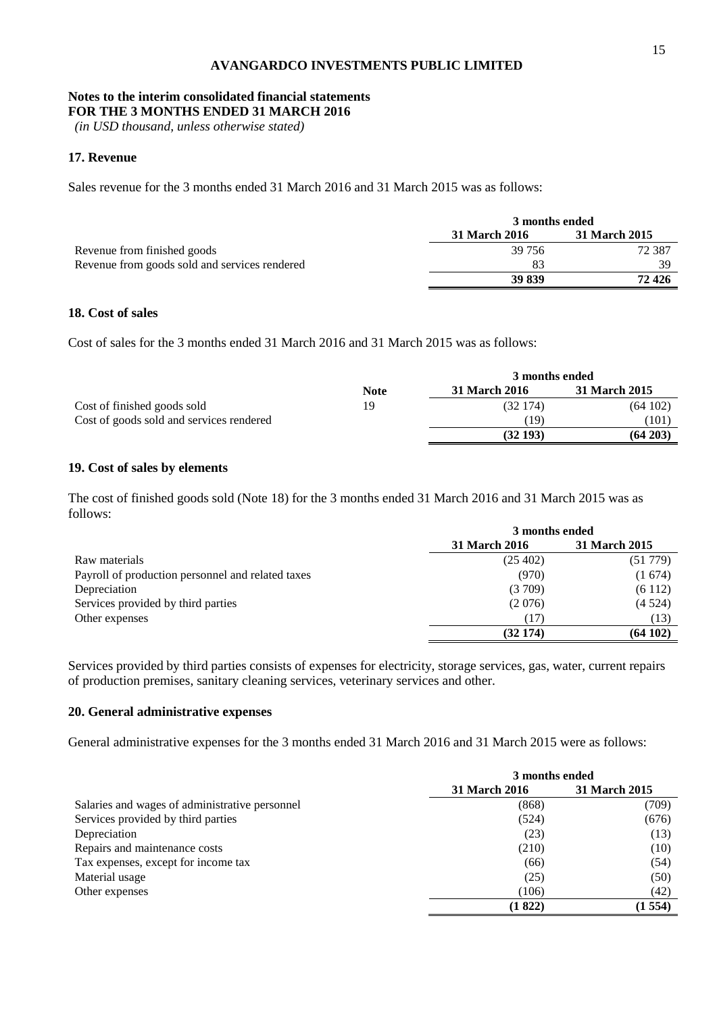# **Notes to the interim consolidated financial statements**

**FOR THE 3 MONTHS ENDED 31 MARCH 2016**

*(in USD thousand, unless otherwise stated)*

# **17. Revenue**

Sales revenue for the 3 months ended 31 March 2016 and 31 March 2015 was as follows:

|                                               |                      | 3 months ended |  |  |
|-----------------------------------------------|----------------------|----------------|--|--|
|                                               | <b>31 March 2016</b> | 31 March 2015  |  |  |
| Revenue from finished goods                   | 39 756               | 72 387         |  |  |
| Revenue from goods sold and services rendered | 83                   | 39             |  |  |
|                                               | 39 839               | 72 4 26        |  |  |

#### **18. Cost of sales**

Cost of sales for the 3 months ended 31 March 2016 and 31 March 2015 was as follows:

|                                          | 3 months ended |               |               |  |
|------------------------------------------|----------------|---------------|---------------|--|
|                                          | <b>Note</b>    | 31 March 2016 | 31 March 2015 |  |
| Cost of finished goods sold              | 19             | (32174)       | (64102)       |  |
| Cost of goods sold and services rendered |                | (19           | (101          |  |
|                                          |                | (32193)       | $(64\,203)$   |  |

# **19. Cost of sales by elements**

The cost of finished goods sold (Note 18) for the 3 months ended 31 March 2016 and 31 March 2015 was as follows:

|                                                   | 3 months ended       |               |  |
|---------------------------------------------------|----------------------|---------------|--|
|                                                   | <b>31 March 2016</b> | 31 March 2015 |  |
| Raw materials                                     | (25, 402)            | (51 779)      |  |
| Payroll of production personnel and related taxes | (970)                | (1674)        |  |
| Depreciation                                      | (3709)               | (6112)        |  |
| Services provided by third parties                | (2076)               | (4524)        |  |
| Other expenses                                    | (17)                 | (13)          |  |
|                                                   | (32174)              | (64102)       |  |

Services provided by third parties consists of expenses for electricity, storage services, gas, water, current repairs of production premises, sanitary cleaning services, veterinary services and other.

#### **20. General administrative expenses**

General administrative expenses for the 3 months ended 31 March 2016 and 31 March 2015 were as follows:

|                                                | 3 months ended       |               |  |
|------------------------------------------------|----------------------|---------------|--|
|                                                | <b>31 March 2016</b> | 31 March 2015 |  |
| Salaries and wages of administrative personnel | (868)                | (709)         |  |
| Services provided by third parties             | (524)                | (676)         |  |
| Depreciation                                   | (23)                 | (13)          |  |
| Repairs and maintenance costs                  | (210)                | (10)          |  |
| Tax expenses, except for income tax            | (66)                 | (54)          |  |
| Material usage                                 | (25)                 | (50)          |  |
| Other expenses                                 | (106)                | (42)          |  |
|                                                | (1822)               | (1554)        |  |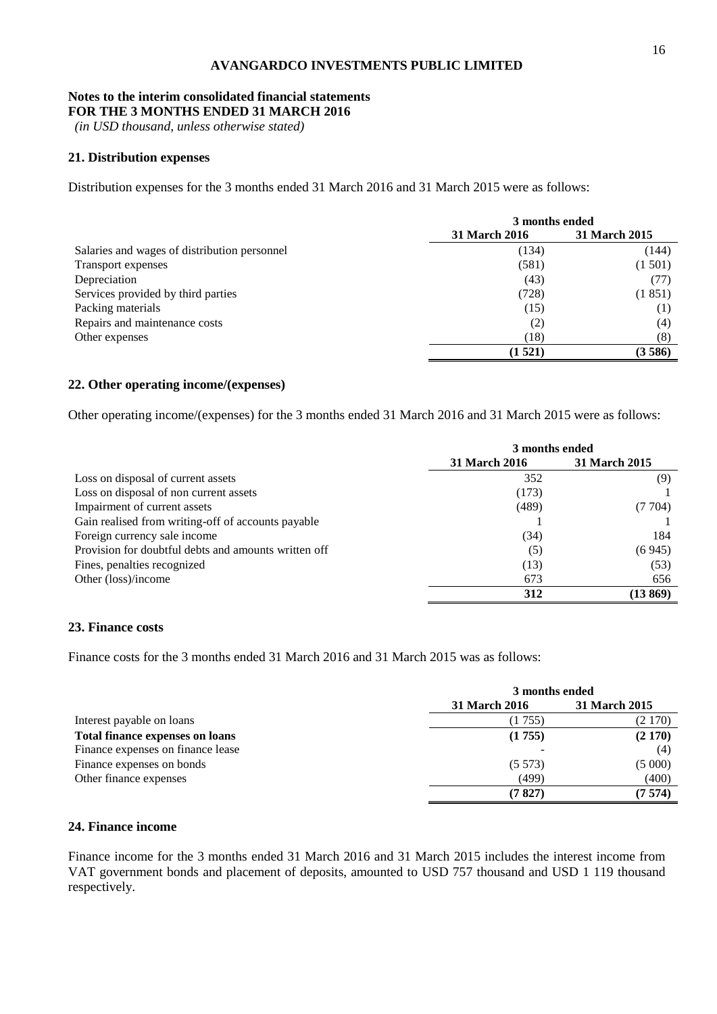# **Notes to the interim consolidated financial statements**

**FOR THE 3 MONTHS ENDED 31 MARCH 2016**

*(in USD thousand, unless otherwise stated)*

# **21. Distribution expenses**

Distribution expenses for the 3 months ended 31 March 2016 and 31 March 2015 were as follows:

|                                              | 3 months ended       |                      |  |
|----------------------------------------------|----------------------|----------------------|--|
|                                              | <b>31 March 2016</b> | <b>31 March 2015</b> |  |
| Salaries and wages of distribution personnel | (134)                | (144)                |  |
| <b>Transport expenses</b>                    | (581)                | (1501)               |  |
| Depreciation                                 | (43)                 | (77)                 |  |
| Services provided by third parties           | (728)                | (1851)               |  |
| Packing materials                            | (15)                 | (1)                  |  |
| Repairs and maintenance costs                | (2)                  | (4)                  |  |
| Other expenses                               | (18)                 | (8)                  |  |
|                                              | (1521)               | (3586)               |  |

#### **22. Other operating income/(expenses)**

Other operating income/(expenses) for the 3 months ended 31 March 2016 and 31 March 2015 were as follows:

|                                                      | 3 months ended       |               |  |
|------------------------------------------------------|----------------------|---------------|--|
|                                                      | <b>31 March 2016</b> | 31 March 2015 |  |
| Loss on disposal of current assets                   | 352                  | (9)           |  |
| Loss on disposal of non current assets               | (173)                |               |  |
| Impairment of current assets                         | (489)                | (7704)        |  |
| Gain realised from writing-off of accounts payable   |                      |               |  |
| Foreign currency sale income                         | (34)                 | 184           |  |
| Provision for doubtful debts and amounts written off | (5)                  | (6945)        |  |
| Fines, penalties recognized                          | (13)                 | (53)          |  |
| Other (loss)/income                                  | 673                  | 656           |  |
|                                                      | 312                  | (13869)       |  |

# **23. Finance costs**

Finance costs for the 3 months ended 31 March 2016 and 31 March 2015 was as follows:

|                                        | 3 months ended |               |  |
|----------------------------------------|----------------|---------------|--|
|                                        | 31 March 2016  | 31 March 2015 |  |
| Interest payable on loans              | (1 755)        | (2170)        |  |
| <b>Total finance expenses on loans</b> | (1755)         | (2170)        |  |
| Finance expenses on finance lease      |                | (4)           |  |
| Finance expenses on bonds              | (5573)         | (5000)        |  |
| Other finance expenses                 | (499)          | (400)         |  |
|                                        | (7827)         | (7574)        |  |

# **24. Finance income**

Finance income for the 3 months ended 31 March 2016 and 31 March 2015 includes the interest income from VAT government bonds and placement of deposits, amounted to USD 757 thousand and USD 1 119 thousand respectively.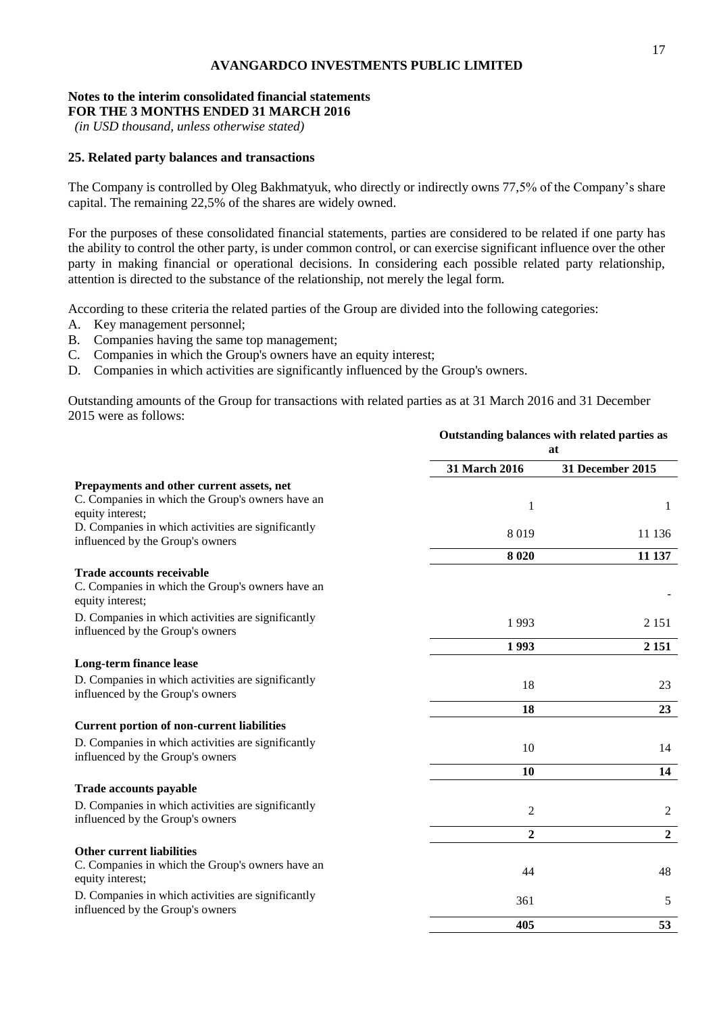# **Notes to the interim consolidated financial statements**

**FOR THE 3 MONTHS ENDED 31 MARCH 2016**

*(in USD thousand, unless otherwise stated)*

#### **25. Related party balances and transactions**

The Company is controlled by Oleg Bakhmatyuk, who directly or indirectly owns 77,5% of the Company's share capital. The remaining 22,5% of the shares are widely owned.

For the purposes of these consolidated financial statements, parties are considered to be related if one party has the ability to control the other party, is under common control, or can exercise significant influence over the other party in making financial or operational decisions. In considering each possible related party relationship, attention is directed to the substance of the relationship, not merely the legal form.

According to these criteria the related parties of the Group are divided into the following categories:

- A. Key management personnel;
- B. Companies having the same top management;
- C. Companies in which the Group's owners have an equity interest;
- D. Companies in which activities are significantly influenced by the Group's owners.

Outstanding amounts of the Group for transactions with related parties as at 31 March 2016 and 31 December 2015 were as follows:

|                                                                                                          | Outstanding balances with related parties as<br>at |                  |
|----------------------------------------------------------------------------------------------------------|----------------------------------------------------|------------------|
|                                                                                                          | 31 March 2016                                      | 31 December 2015 |
| Prepayments and other current assets, net<br>C. Companies in which the Group's owners have an            | 1                                                  | 1                |
| equity interest;                                                                                         |                                                    |                  |
| D. Companies in which activities are significantly<br>influenced by the Group's owners                   | 8019                                               | 11 136           |
|                                                                                                          | 8 0 20                                             | 11 137           |
| <b>Trade accounts receivable</b><br>C. Companies in which the Group's owners have an<br>equity interest; |                                                    |                  |
| D. Companies in which activities are significantly<br>influenced by the Group's owners                   | 1993                                               | 2 1 5 1          |
|                                                                                                          | 1993                                               | 2 1 5 1          |
| Long-term finance lease                                                                                  |                                                    |                  |
| D. Companies in which activities are significantly<br>influenced by the Group's owners                   | 18                                                 | 23               |
|                                                                                                          | 18                                                 | 23               |
| <b>Current portion of non-current liabilities</b>                                                        |                                                    |                  |
| D. Companies in which activities are significantly<br>influenced by the Group's owners                   | 10                                                 | 14               |
|                                                                                                          | 10                                                 | 14               |
| Trade accounts payable                                                                                   |                                                    |                  |
| D. Companies in which activities are significantly<br>influenced by the Group's owners                   | $\overline{c}$                                     | 2                |
|                                                                                                          | $\mathbf{2}$                                       | $\overline{2}$   |
| <b>Other current liabilities</b>                                                                         |                                                    |                  |
| C. Companies in which the Group's owners have an<br>equity interest;                                     | 44                                                 | 48               |
| D. Companies in which activities are significantly<br>influenced by the Group's owners                   | 361                                                | 5                |
|                                                                                                          | 405                                                | 53               |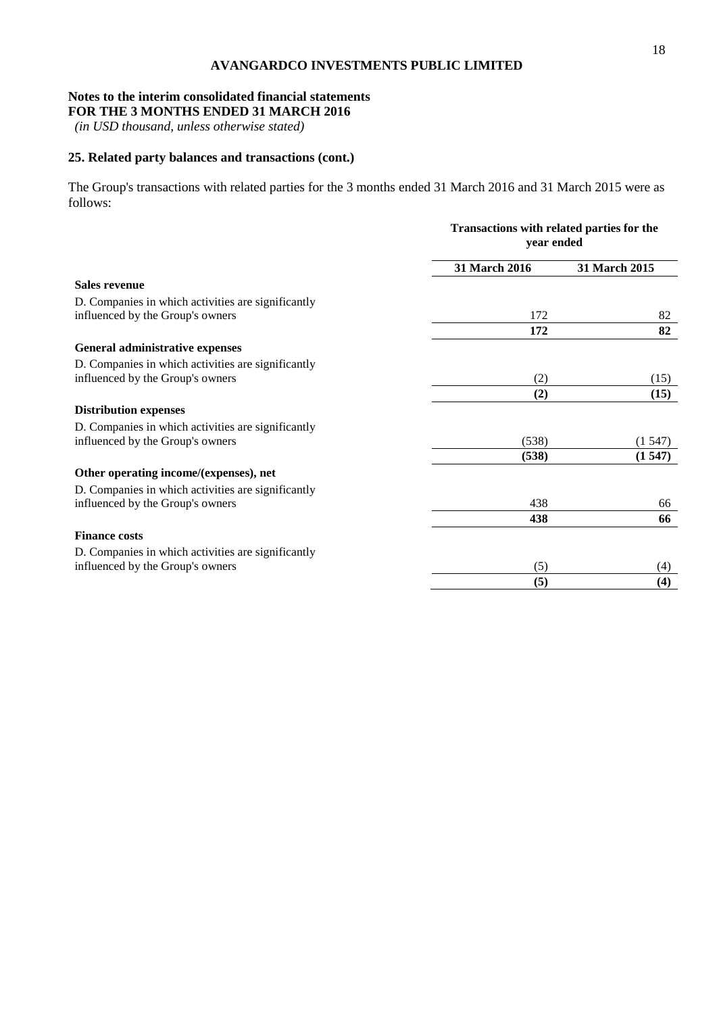# **Notes to the interim consolidated financial statements**

**FOR THE 3 MONTHS ENDED 31 MARCH 2016**

*(in USD thousand, unless otherwise stated)*

# **25. Related party balances and transactions (cont.)**

The Group's transactions with related parties for the 3 months ended 31 March 2016 and 31 March 2015 were as follows:

|                                                    |               | Transactions with related parties for the<br>year ended |  |  |
|----------------------------------------------------|---------------|---------------------------------------------------------|--|--|
|                                                    | 31 March 2016 | 31 March 2015                                           |  |  |
| <b>Sales revenue</b>                               |               |                                                         |  |  |
| D. Companies in which activities are significantly |               |                                                         |  |  |
| influenced by the Group's owners                   | 172           | 82                                                      |  |  |
|                                                    | 172           | 82                                                      |  |  |
| General administrative expenses                    |               |                                                         |  |  |
| D. Companies in which activities are significantly |               |                                                         |  |  |
| influenced by the Group's owners                   | (2)           | (15)                                                    |  |  |
|                                                    | (2)           | (15)                                                    |  |  |
| <b>Distribution expenses</b>                       |               |                                                         |  |  |
| D. Companies in which activities are significantly |               |                                                         |  |  |
| influenced by the Group's owners                   | (538)         | (1547)                                                  |  |  |
|                                                    | (538)         | (1547)                                                  |  |  |
| Other operating income/(expenses), net             |               |                                                         |  |  |
| D. Companies in which activities are significantly |               |                                                         |  |  |
| influenced by the Group's owners                   | 438           | 66                                                      |  |  |
|                                                    | 438           | 66                                                      |  |  |
| <b>Finance costs</b>                               |               |                                                         |  |  |
| D. Companies in which activities are significantly |               |                                                         |  |  |
| influenced by the Group's owners                   | (5)           | (4)                                                     |  |  |
|                                                    | (5)           | (4)                                                     |  |  |
|                                                    |               |                                                         |  |  |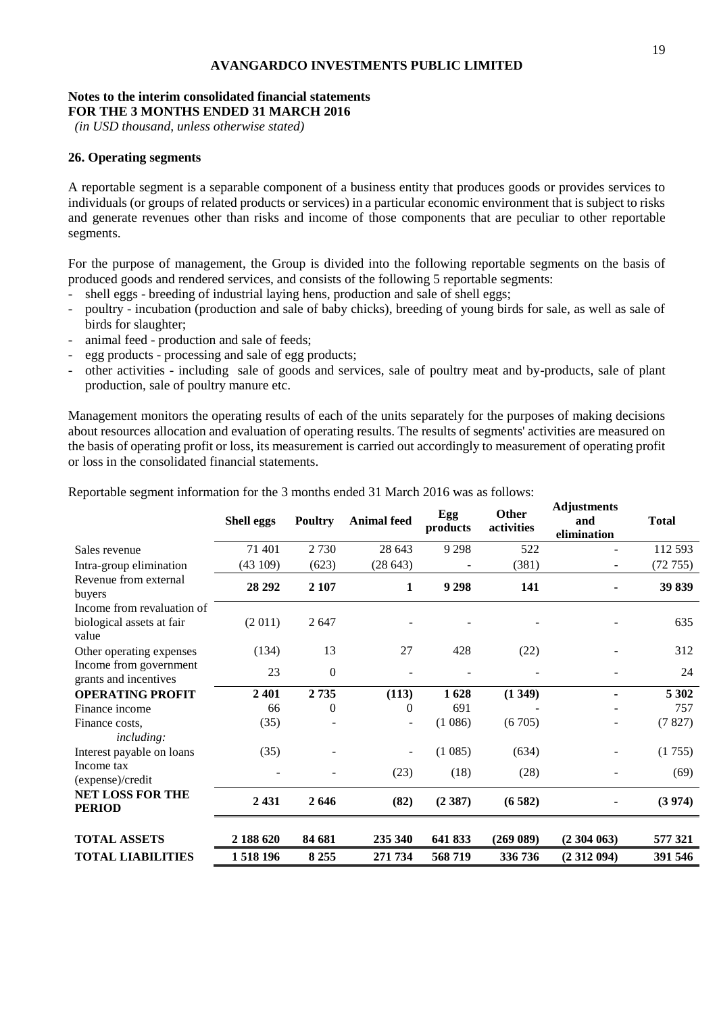#### **Notes to the interim consolidated financial statements FOR THE 3 MONTHS ENDED 31 MARCH 2016**

*(in USD thousand, unless otherwise stated)*

#### **26. Operating segments**

A reportable segment is a separable component of a business entity that produces goods or provides services to individuals (or groups of related products or services) in a particular economic environment that is subject to risks and generate revenues other than risks and income of those components that are peculiar to other reportable segments.

For the purpose of management, the Group is divided into the following reportable segments on the basis of produced goods and rendered services, and consists of the following 5 reportable segments:

- shell eggs breeding of industrial laying hens, production and sale of shell eggs;
- poultry incubation (production and sale of baby chicks), breeding of young birds for sale, as well as sale of birds for slaughter;
- animal feed production and sale of feeds;
- egg products processing and sale of egg products;
- other activities including sale of goods and services, sale of poultry meat and by-products, sale of plant production, sale of poultry manure etc.

Management monitors the operating results of each of the units separately for the purposes of making decisions about resources allocation and evaluation of operating results. The results of segments' activities are measured on the basis of operating profit or loss, its measurement is carried out accordingly to measurement of operating profit or loss in the consolidated financial statements.

|                                                                  | <b>Shell eggs</b> | <b>Poultry</b> | <b>Animal</b> feed       | Egg<br>products | Other<br>activities | rajustments<br>and<br>elimination | <b>Total</b> |
|------------------------------------------------------------------|-------------------|----------------|--------------------------|-----------------|---------------------|-----------------------------------|--------------|
| Sales revenue                                                    | 71 401            | 2 7 3 0        | 28 643                   | 9 2 9 8         | 522                 |                                   | 112 593      |
| Intra-group elimination                                          | (43109)           | (623)          | (28643)                  |                 | (381)               |                                   | (72755)      |
| Revenue from external<br>buyers                                  | 28 29 2           | 2 107          | 1                        | 9 2 9 8         | 141                 |                                   | 39 839       |
| Income from revaluation of<br>biological assets at fair<br>value | (2 011)           | 2647           |                          |                 |                     |                                   | 635          |
| Other operating expenses                                         | (134)             | 13             | 27                       | 428             | (22)                |                                   | 312          |
| Income from government<br>grants and incentives                  | 23                | $\overline{0}$ |                          |                 |                     |                                   | 24           |
| <b>OPERATING PROFIT</b>                                          | 2401              | 2735           | (113)                    | 1628            | (1349)              |                                   | 5 3 0 2      |
| Finance income                                                   | 66                | $\overline{0}$ | 0                        | 691             |                     |                                   | 757          |
| Finance costs,<br><i>including:</i>                              | (35)              |                |                          | (1086)          | (6705)              |                                   | (7827)       |
| Interest payable on loans                                        | (35)              |                | $\overline{\phantom{a}}$ | (1085)          | (634)               |                                   | (1755)       |
| Income tax<br>(expense)/credit                                   |                   |                | (23)                     | (18)            | (28)                |                                   | (69)         |
| <b>NET LOSS FOR THE</b><br><b>PERIOD</b>                         | 2 4 3 1           | 2646           | (82)                     | (2387)          | (6582)              |                                   | (3974)       |
| <b>TOTAL ASSETS</b>                                              | 2 188 620         | 84 681         | 235 340                  | 641 833         | (269 089)           | (2304063)                         | 577 321      |
| <b>TOTAL LIABILITIES</b>                                         | 1518196           | 8 2 5 5        | 271 734                  | 568719          | 336 736             | (2312094)                         | 391 546      |

Reportable segment information for the 3 months ended 31 March 2016 was as follows:

**Adjustments**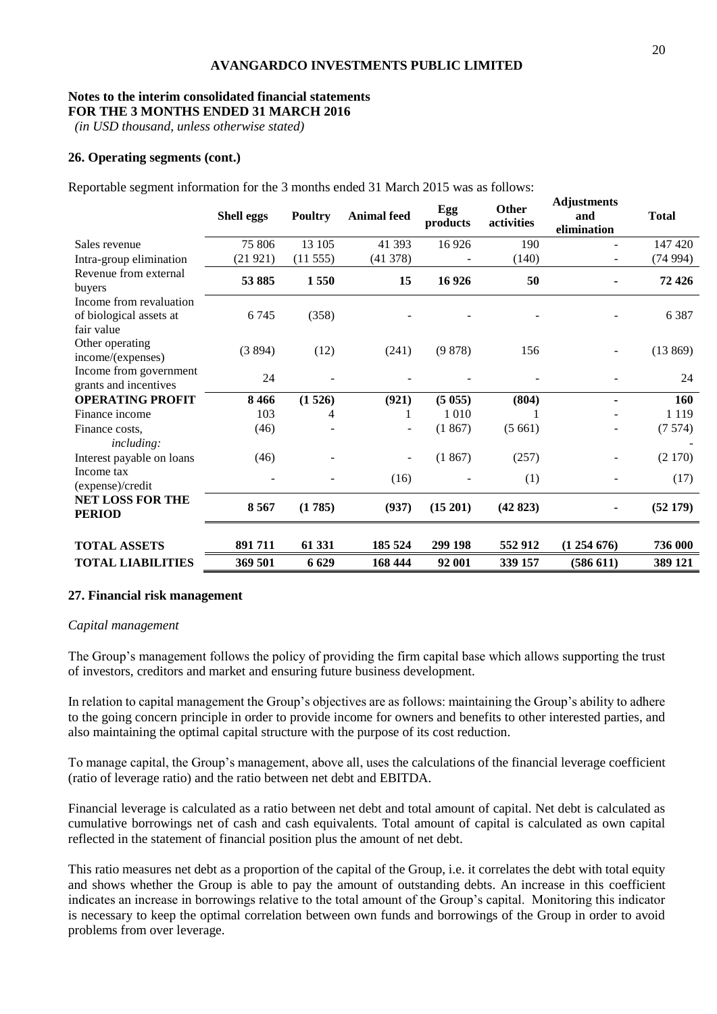# **Notes to the interim consolidated financial statements**

**FOR THE 3 MONTHS ENDED 31 MARCH 2016**

*(in USD thousand, unless otherwise stated)*

#### **26. Operating segments (cont.)**

Reportable segment information for the 3 months ended 31 March 2015 was as follows:

|                                                                  | <b>Shell eggs</b> | <b>Poultry</b> | <b>Animal feed</b> | Egg<br>products | <b>Other</b><br>activities | <b>Adjustments</b><br>and<br>elimination | <b>Total</b> |
|------------------------------------------------------------------|-------------------|----------------|--------------------|-----------------|----------------------------|------------------------------------------|--------------|
| Sales revenue                                                    | 75 806            | 13 105         | 41 393             | 16926           | 190                        |                                          | 147 420      |
| Intra-group elimination                                          | (21921)           | (11555)        | (41378)            |                 | (140)                      |                                          | (74994)      |
| Revenue from external<br>buyers                                  | 53 885            | 1550           | 15                 | 16926           | 50                         |                                          | 72 4 26      |
| Income from revaluation<br>of biological assets at<br>fair value | 6745              | (358)          |                    |                 |                            |                                          | 6 3 8 7      |
| Other operating<br>income/(expenses)                             | (3894)            | (12)           | (241)              | (9878)          | 156                        |                                          | (13869)      |
| Income from government<br>grants and incentives                  | 24                |                |                    |                 |                            |                                          | 24           |
| <b>OPERATING PROFIT</b>                                          | 8466              | (1526)         | (921)              | (5055)          | (804)                      |                                          | 160          |
| Finance income                                                   | 103               | 4              |                    | 1010            |                            |                                          | 1 1 1 9      |
| Finance costs.                                                   | (46)              |                |                    | (1867)          | (5661)                     |                                          | (7574)       |
| <i>including:</i><br>Interest payable on loans                   | (46)              |                |                    | (1867)          | (257)                      |                                          | (2170)       |
| Income tax<br>(expense)/credit                                   |                   |                | (16)               |                 | (1)                        |                                          | (17)         |
| <b>NET LOSS FOR THE</b><br><b>PERIOD</b>                         | 8567              | (1785)         | (937)              | (15201)         | (42823)                    | ۰                                        | (52179)      |
| <b>TOTAL ASSETS</b>                                              | 891711            | 61 331         | 185 524            | 299 198         | 552912                     | (1254676)                                | 736 000      |
| <b>TOTAL LIABILITIES</b>                                         | 369 501           | 6 6 29         | 168 444            | 92 001          | 339 157                    | (586 611)                                | 389 121      |

#### **27. Financial risk management**

#### *Capital management*

The Group's management follows the policy of providing the firm capital base which allows supporting the trust of investors, creditors and market and ensuring future business development.

In relation to capital management the Group's objectives are as follows: maintaining the Group's ability to adhere to the going concern principle in order to provide income for owners and benefits to other interested parties, and also maintaining the optimal capital structure with the purpose of its cost reduction.

To manage capital, the Group's management, above all, uses the calculations of the financial leverage coefficient (ratio of leverage ratio) and the ratio between net debt and EBITDA.

Financial leverage is calculated as a ratio between net debt and total amount of capital. Net debt is calculated as cumulative borrowings net of cash and cash equivalents. Total amount of capital is calculated as own capital reflected in the statement of financial position plus the amount of net debt.

This ratio measures net debt as a proportion of the capital of the Group, i.e. it correlates the debt with total equity and shows whether the Group is able to pay the amount of outstanding debts. An increase in this coefficient indicates an increase in borrowings relative to the total amount of the Group's capital. Monitoring this indicator is necessary to keep the optimal correlation between own funds and borrowings of the Group in order to avoid problems from over leverage.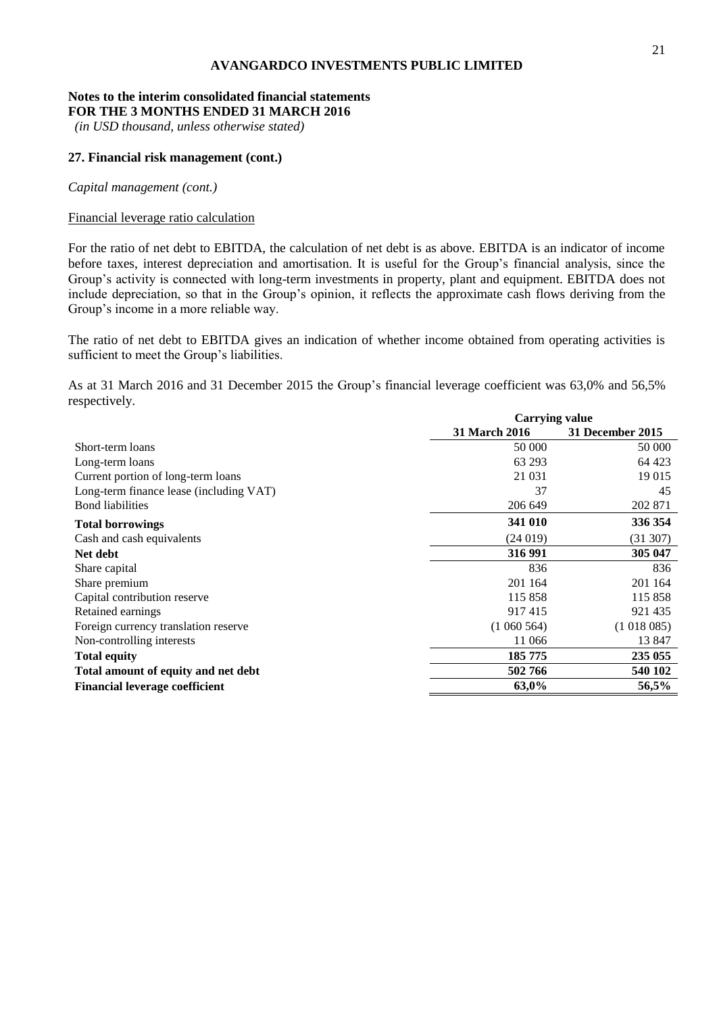#### **Notes to the interim consolidated financial statements FOR THE 3 MONTHS ENDED 31 MARCH 2016**

*(in USD thousand, unless otherwise stated)*

#### **27. Financial risk management (cont.)**

*Capital management (cont.)*

#### Financial leverage ratio calculation

For the ratio of net debt to EBITDA, the calculation of net debt is as above. EBITDA is an indicator of income before taxes, interest depreciation and amortisation. It is useful for the Group's financial analysis, since the Group's activity is connected with long-term investments in property, plant and equipment. EBITDA does not include depreciation, so that in the Group's opinion, it reflects the approximate cash flows deriving from the Group's income in a more reliable way.

The ratio of net debt to EBITDA gives an indication of whether income obtained from operating activities is sufficient to meet the Group's liabilities.

As at 31 March 2016 and 31 December 2015 the Group's financial leverage coefficient was 63,0% and 56,5% respectively.

|                                         | <b>Carrying value</b> |                  |  |
|-----------------------------------------|-----------------------|------------------|--|
|                                         | <b>31 March 2016</b>  | 31 December 2015 |  |
| Short-term loans                        | 50 000                | 50 000           |  |
| Long-term loans                         | 63 293                | 64 423           |  |
| Current portion of long-term loans      | 21 0 31               | 19 015           |  |
| Long-term finance lease (including VAT) | 37                    | 45               |  |
| <b>Bond</b> liabilities                 | 206 649               | 202 871          |  |
| <b>Total borrowings</b>                 | 341 010               | 336 354          |  |
| Cash and cash equivalents               | (24019)               | (31307)          |  |
| Net debt                                | 316 991               | 305 047          |  |
| Share capital                           | 836                   | 836              |  |
| Share premium                           | 201 164               | 201 164          |  |
| Capital contribution reserve            | 115 858               | 115 858          |  |
| Retained earnings                       | 917415                | 921 435          |  |
| Foreign currency translation reserve    | (1060564)             | (1018085)        |  |
| Non-controlling interests               | 11 066                | 13 847           |  |
| <b>Total equity</b>                     | 185 775               | 235 055          |  |
| Total amount of equity and net debt     | 502766                | 540 102          |  |
| <b>Financial leverage coefficient</b>   | 63,0%                 | 56,5%            |  |